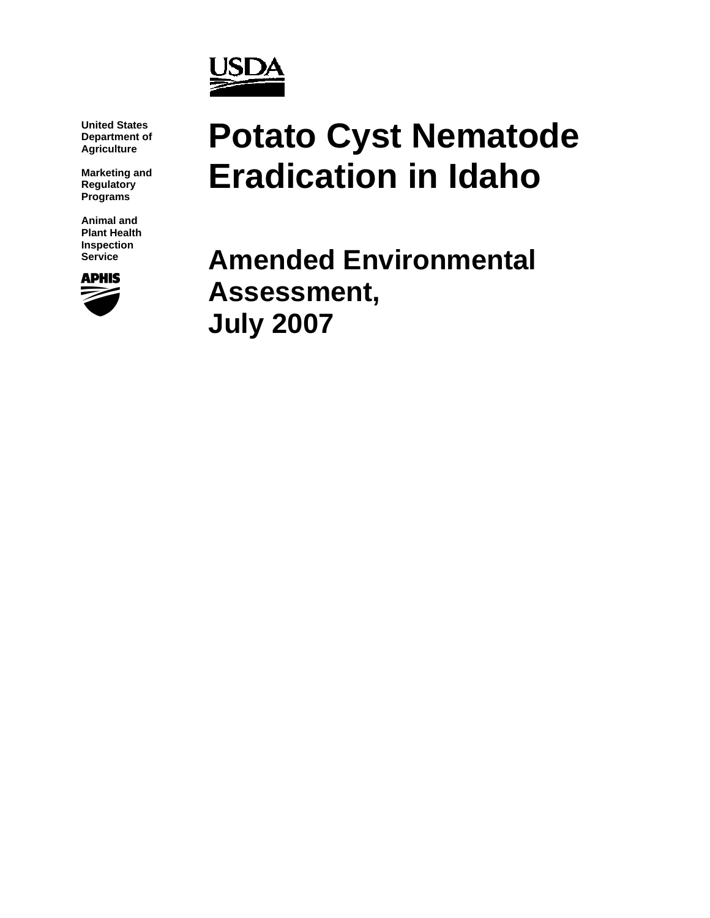

**United States Department of Agriculture** 

**Marketing and Regulatory Programs** 

**Animal and Plant Health Inspection** 



# **Potato Cyst Nematode Eradication in Idaho**

**Service Amended Environmental Assessment, July 2007**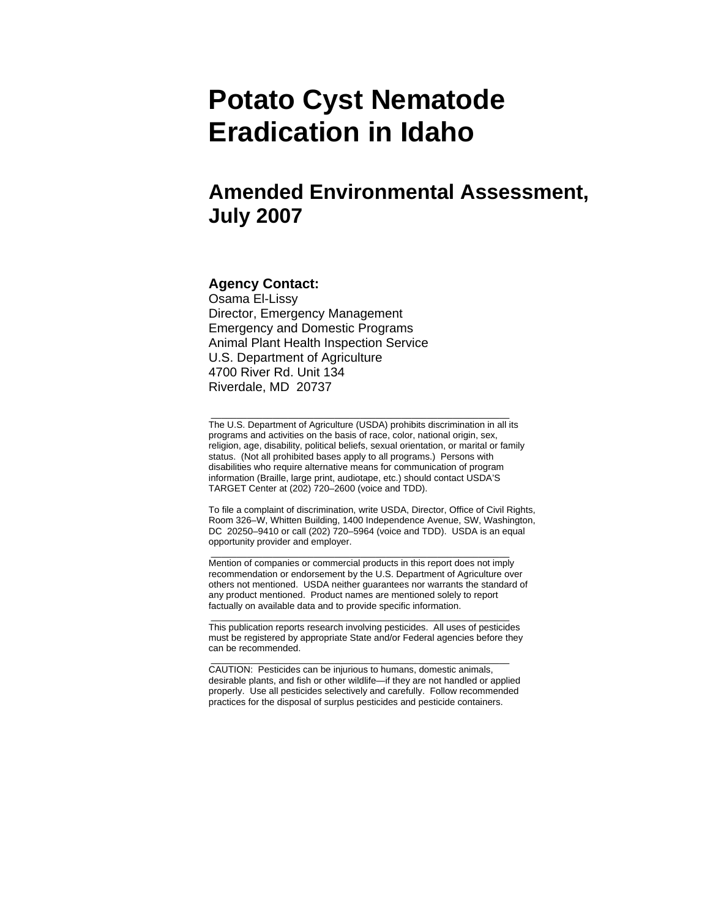# **Potato Cyst Nematode Eradication in Idaho**

# **Amended Environmental Assessment, July 2007**

#### **Agency Contact:**

Osama El-Lissy Director, Emergency Management Emergency and Domestic Programs Animal Plant Health Inspection Service U.S. Department of Agriculture 4700 River Rd. Unit 134 Riverdale, MD 20737

The U.S. Department of Agriculture (USDA) prohibits discrimination in all its programs and activities on the basis of race, color, national origin, sex, religion, age, disability, political beliefs, sexual orientation, or marital or family status. (Not all prohibited bases apply to all programs.) Persons with disabilities who require alternative means for communication of program information (Braille, large print, audiotape, etc.) should contact USDA'S TARGET Center at (202) 720–2600 (voice and TDD).

\_\_\_\_\_\_\_\_\_\_\_\_\_\_\_\_\_\_\_\_\_\_\_\_\_\_\_\_\_\_\_\_\_\_\_\_\_\_\_\_\_\_\_\_\_\_\_\_\_\_\_\_\_\_\_\_\_\_

To file a complaint of discrimination, write USDA, Director, Office of Civil Rights, Room 326–W, Whitten Building, 1400 Independence Avenue, SW, Washington, DC 20250–9410 or call (202) 720–5964 (voice and TDD). USDA is an equal opportunity provider and employer.

Mention of companies or commercial products in this report does not imply recommendation or endorsement by the U.S. Department of Agriculture over others not mentioned. USDA neither guarantees nor warrants the standard of any product mentioned. Product names are mentioned solely to report factually on available data and to provide specific information.

\_\_\_\_\_\_\_\_\_\_\_\_\_\_\_\_\_\_\_\_\_\_\_\_\_\_\_\_\_\_\_\_\_\_\_\_\_\_\_\_\_\_\_\_\_\_\_\_\_\_\_\_\_\_\_\_\_\_

This publication reports research involving pesticides. All uses of pesticides must be registered by appropriate State and/or Federal agencies before they can be recommended.

\_\_\_\_\_\_\_\_\_\_\_\_\_\_\_\_\_\_\_\_\_\_\_\_\_\_\_\_\_\_\_\_\_\_\_\_\_\_\_\_\_\_\_\_\_\_\_\_\_\_\_\_\_\_\_\_\_\_

\_\_\_\_\_\_\_\_\_\_\_\_\_\_\_\_\_\_\_\_\_\_\_\_\_\_\_\_\_\_\_\_\_\_\_\_\_\_\_\_\_\_\_\_\_\_\_\_\_\_\_\_\_\_\_\_\_\_

CAUTION: Pesticides can be injurious to humans, domestic animals, desirable plants, and fish or other wildlife—if they are not handled or applied properly. Use all pesticides selectively and carefully. Follow recommended practices for the disposal of surplus pesticides and pesticide containers.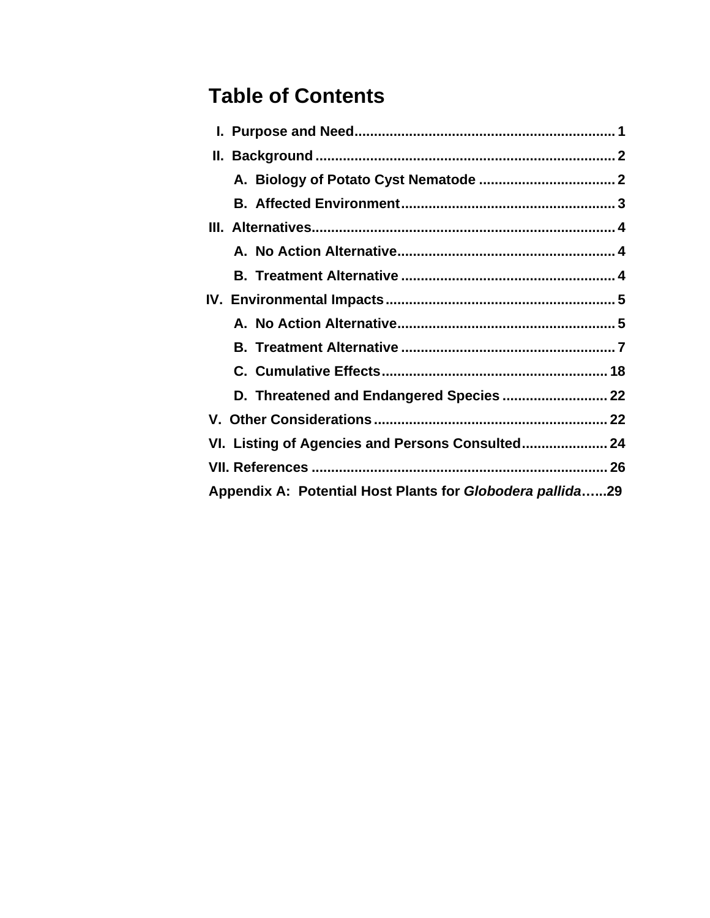# **Table of Contents**

|                                                           |  | D. Threatened and Endangered Species  22 |
|-----------------------------------------------------------|--|------------------------------------------|
|                                                           |  |                                          |
|                                                           |  |                                          |
|                                                           |  |                                          |
| Appendix A: Potential Host Plants for Globodera pallida29 |  |                                          |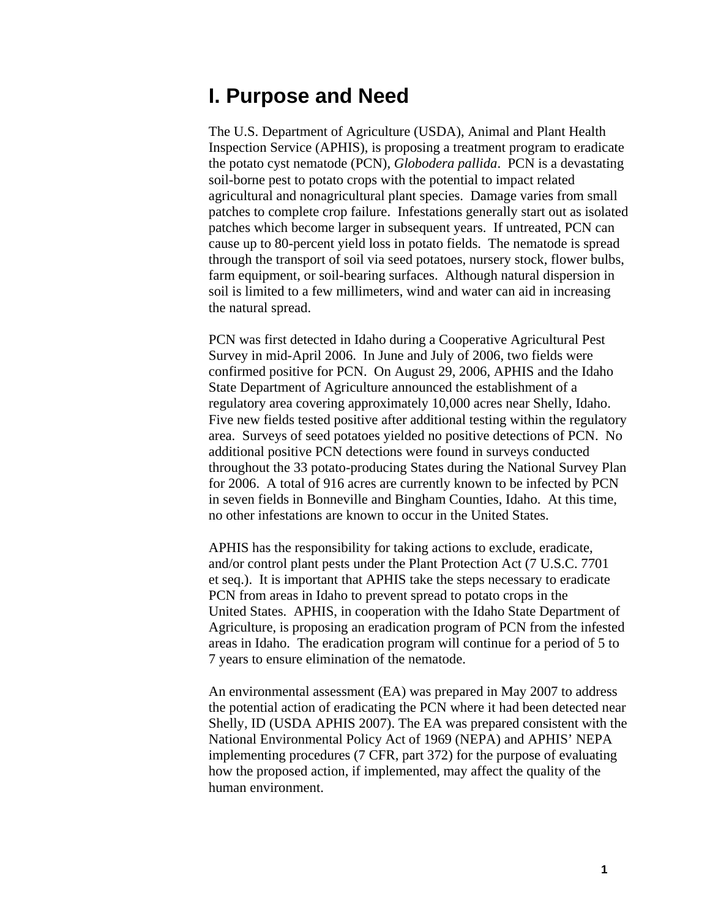# <span id="page-3-0"></span>**I. Purpose and Need**

The U.S. Department of Agriculture (USDA), Animal and Plant Health Inspection Service (APHIS), is proposing a treatment program to eradicate the potato cyst nematode (PCN), *Globodera pallida*. PCN is a devastating soil-borne pest to potato crops with the potential to impact related agricultural and nonagricultural plant species. Damage varies from small patches to complete crop failure. Infestations generally start out as isolated patches which become larger in subsequent years. If untreated, PCN can cause up to 80-percent yield loss in potato fields. The nematode is spread through the transport of soil via seed potatoes, nursery stock, flower bulbs, farm equipment, or soil-bearing surfaces. Although natural dispersion in soil is limited to a few millimeters, wind and water can aid in increasing the natural spread.

PCN was first detected in Idaho during a Cooperative Agricultural Pest Survey in mid-April 2006. In June and July of 2006, two fields were confirmed positive for PCN. On August 29, 2006, APHIS and the Idaho State Department of Agriculture announced the establishment of a regulatory area covering approximately 10,000 acres near Shelly, Idaho. Five new fields tested positive after additional testing within the regulatory area. Surveys of seed potatoes yielded no positive detections of PCN. No additional positive PCN detections were found in surveys conducted throughout the 33 potato-producing States during the National Survey Plan for 2006. A total of 916 acres are currently known to be infected by PCN in seven fields in Bonneville and Bingham Counties, Idaho. At this time, no other infestations are known to occur in the United States.

APHIS has the responsibility for taking actions to exclude, eradicate, and/or control plant pests under the Plant Protection Act (7 U.S.C. 7701 et seq.). It is important that APHIS take the steps necessary to eradicate PCN from areas in Idaho to prevent spread to potato crops in the United States. APHIS, in cooperation with the Idaho State Department of Agriculture, is proposing an eradication program of PCN from the infested areas in Idaho. The eradication program will continue for a period of 5 to 7 years to ensure elimination of the nematode.

An environmental assessment (EA) was prepared in May 2007 to address the potential action of eradicating the PCN where it had been detected near Shelly, ID (USDA APHIS 2007). The EA was prepared consistent with the National Environmental Policy Act of 1969 (NEPA) and APHIS' NEPA implementing procedures (7 CFR, part 372) for the purpose of evaluating how the proposed action, if implemented, may affect the quality of the human environment.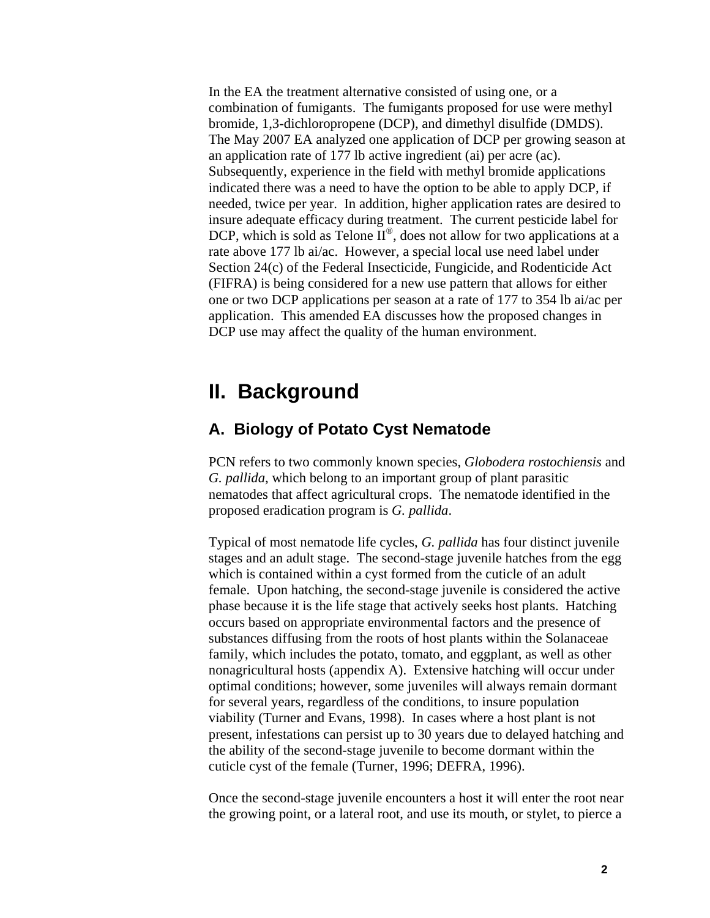<span id="page-4-0"></span>In the EA the treatment alternative consisted of using one, or a combination of fumigants. The fumigants proposed for use were methyl bromide, 1,3-dichloropropene (DCP), and dimethyl disulfide (DMDS). The May 2007 EA analyzed one application of DCP per growing season at an application rate of 177 lb active ingredient (ai) per acre (ac). Subsequently, experience in the field with methyl bromide applications indicated there was a need to have the option to be able to apply DCP, if needed, twice per year. In addition, higher application rates are desired to insure adequate efficacy during treatment. The current pesticide label for DCP, which is sold as Telone  $\overline{II}^{\circledcirc}$ , does not allow for two applications at a rate above 177 lb ai/ac. However, a special local use need label under Section 24(c) of the Federal Insecticide, Fungicide, and Rodenticide Act (FIFRA) is being considered for a new use pattern that allows for either one or two DCP applications per season at a rate of 177 to 354 lb ai/ac per application. This amended EA discusses how the proposed changes in DCP use may affect the quality of the human environment.

## **II. Background**

### **A. Biology of Potato Cyst Nematode**

PCN refers to two commonly known species, *Globodera rostochiensis* and *G. pallida*, which belong to an important group of plant parasitic nematodes that affect agricultural crops. The nematode identified in the proposed eradication program is *G. pallida*.

Typical of most nematode life cycles, *G. pallida* has four distinct juvenile stages and an adult stage. The second-stage juvenile hatches from the egg which is contained within a cyst formed from the cuticle of an adult female. Upon hatching, the second-stage juvenile is considered the active phase because it is the life stage that actively seeks host plants. Hatching occurs based on appropriate environmental factors and the presence of substances diffusing from the roots of host plants within the Solanaceae family, which includes the potato, tomato, and eggplant, as well as other nonagricultural hosts (appendix A). Extensive hatching will occur under optimal conditions; however, some juveniles will always remain dormant for several years, regardless of the conditions, to insure population viability (Turner and Evans, 1998). In cases where a host plant is not present, infestations can persist up to 30 years due to delayed hatching and the ability of the second-stage juvenile to become dormant within the cuticle cyst of the female (Turner, 1996; DEFRA, 1996).

Once the second-stage juvenile encounters a host it will enter the root near the growing point, or a lateral root, and use its mouth, or stylet, to pierce a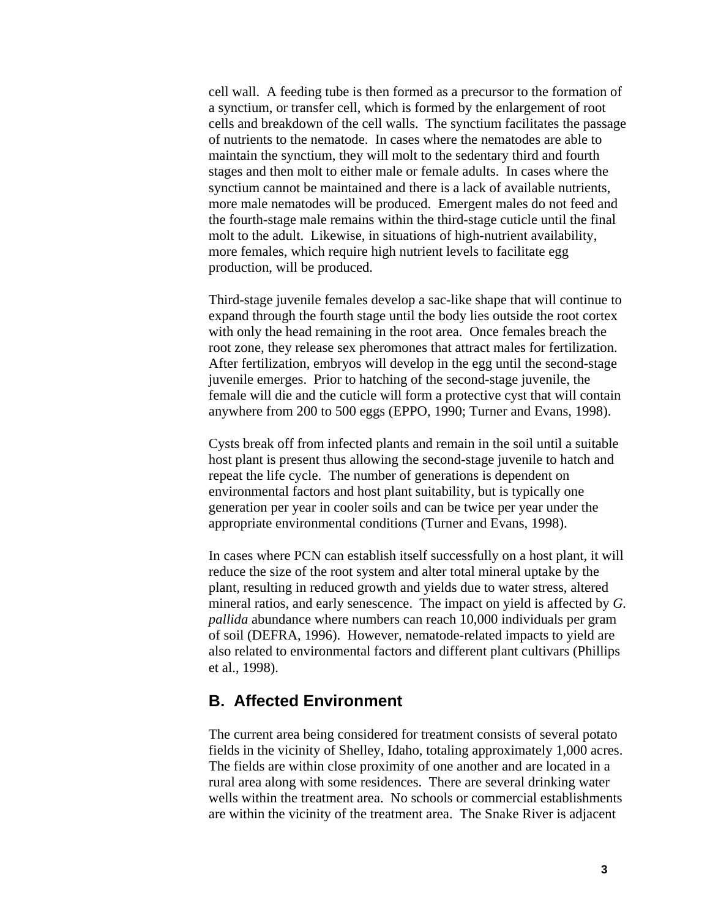<span id="page-5-0"></span>cell wall. A feeding tube is then formed as a precursor to the formation of a synctium, or transfer cell, which is formed by the enlargement of root cells and breakdown of the cell walls. The synctium facilitates the passage of nutrients to the nematode. In cases where the nematodes are able to maintain the synctium, they will molt to the sedentary third and fourth stages and then molt to either male or female adults. In cases where the synctium cannot be maintained and there is a lack of available nutrients, more male nematodes will be produced. Emergent males do not feed and the fourth-stage male remains within the third-stage cuticle until the final molt to the adult. Likewise, in situations of high-nutrient availability, more females, which require high nutrient levels to facilitate egg production, will be produced.

Third-stage juvenile females develop a sac-like shape that will continue to expand through the fourth stage until the body lies outside the root cortex with only the head remaining in the root area. Once females breach the root zone, they release sex pheromones that attract males for fertilization. After fertilization, embryos will develop in the egg until the second-stage juvenile emerges. Prior to hatching of the second-stage juvenile, the female will die and the cuticle will form a protective cyst that will contain anywhere from 200 to 500 eggs (EPPO, 1990; Turner and Evans, 1998).

Cysts break off from infected plants and remain in the soil until a suitable host plant is present thus allowing the second-stage juvenile to hatch and repeat the life cycle. The number of generations is dependent on environmental factors and host plant suitability, but is typically one generation per year in cooler soils and can be twice per year under the appropriate environmental conditions (Turner and Evans, 1998).

In cases where PCN can establish itself successfully on a host plant, it will reduce the size of the root system and alter total mineral uptake by the plant, resulting in reduced growth and yields due to water stress, altered mineral ratios, and early senescence. The impact on yield is affected by *G. pallida* abundance where numbers can reach 10,000 individuals per gram of soil (DEFRA, 1996). However, nematode-related impacts to yield are also related to environmental factors and different plant cultivars (Phillips et al., 1998).

### **B. Affected Environment**

The current area being considered for treatment consists of several potato fields in the vicinity of Shelley, Idaho, totaling approximately 1,000 acres. The fields are within close proximity of one another and are located in a rural area along with some residences. There are several drinking water wells within the treatment area. No schools or commercial establishments are within the vicinity of the treatment area. The Snake River is adjacent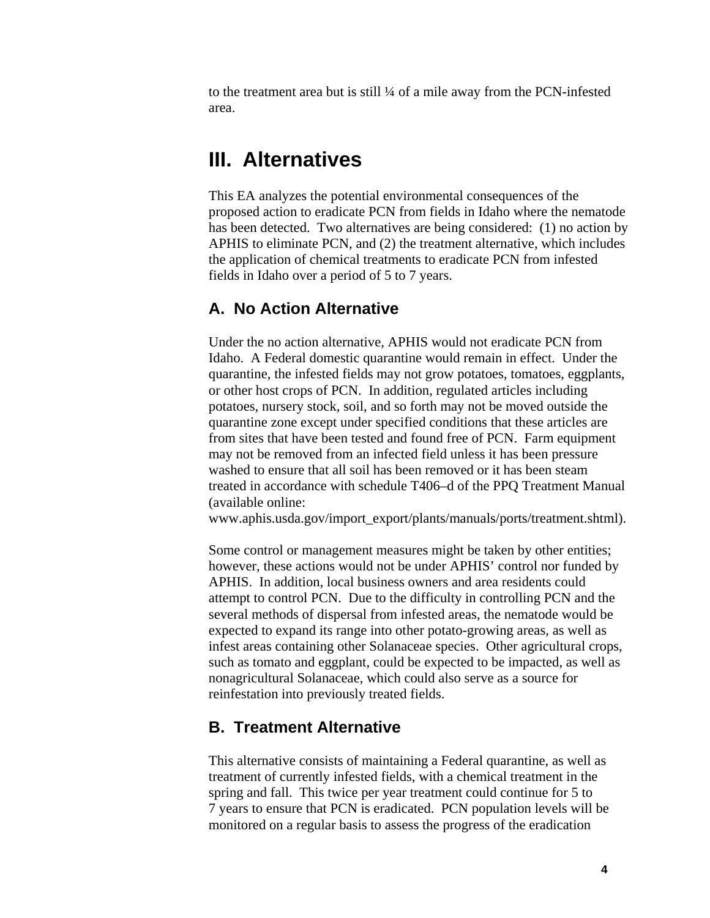<span id="page-6-0"></span>to the treatment area but is still ¼ of a mile away from the PCN-infested area.

## **III. Alternatives**

This EA analyzes the potential environmental consequences of the proposed action to eradicate PCN from fields in Idaho where the nematode has been detected. Two alternatives are being considered: (1) no action by APHIS to eliminate PCN, and (2) the treatment alternative, which includes the application of chemical treatments to eradicate PCN from infested fields in Idaho over a period of 5 to 7 years.

### **A. No Action Alternative**

Under the no action alternative, APHIS would not eradicate PCN from Idaho. A Federal domestic quarantine would remain in effect. Under the quarantine, the infested fields may not grow potatoes, tomatoes, eggplants, or other host crops of PCN. In addition, regulated articles including potatoes, nursery stock, soil, and so forth may not be moved outside the quarantine zone except under specified conditions that these articles are from sites that have been tested and found free of PCN. Farm equipment may not be removed from an infected field unless it has been pressure washed to ensure that all soil has been removed or it has been steam treated in accordance with schedule T406–d of the PPQ Treatment Manual (available online:

www.aphis.usda.gov/import\_export/plants/manuals/ports/treatment.shtml).

Some control or management measures might be taken by other entities; however, these actions would not be under APHIS' control nor funded by APHIS. In addition, local business owners and area residents could attempt to control PCN. Due to the difficulty in controlling PCN and the several methods of dispersal from infested areas, the nematode would be expected to expand its range into other potato-growing areas, as well as infest areas containing other Solanaceae species. Other agricultural crops, such as tomato and eggplant, could be expected to be impacted, as well as nonagricultural Solanaceae, which could also serve as a source for reinfestation into previously treated fields.

### **B. Treatment Alternative**

This alternative consists of maintaining a Federal quarantine, as well as treatment of currently infested fields, with a chemical treatment in the spring and fall. This twice per year treatment could continue for 5 to 7 years to ensure that PCN is eradicated. PCN population levels will be monitored on a regular basis to assess the progress of the eradication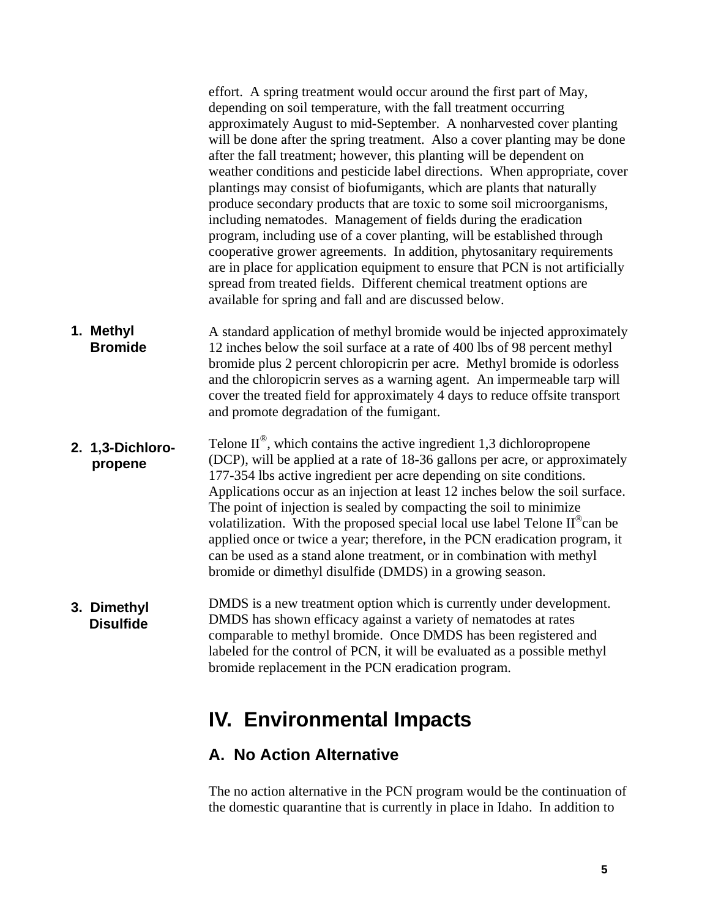<span id="page-7-0"></span>effort. A spring treatment would occur around the first part of May, depending on soil temperature, with the fall treatment occurring approximately August to mid-September. A nonharvested cover planting will be done after the spring treatment. Also a cover planting may be done after the fall treatment; however, this planting will be dependent on weather conditions and pesticide label directions. When appropriate, cover plantings may consist of biofumigants, which are plants that naturally produce secondary products that are toxic to some soil microorganisms, including nematodes. Management of fields during the eradication program, including use of a cover planting, will be established through cooperative grower agreements. In addition, phytosanitary requirements are in place for application equipment to ensure that PCN is not artificially spread from treated fields. Different chemical treatment options are available for spring and fall and are discussed below.

- **1. Methyl Bromide**  A standard application of methyl bromide would be injected approximately 12 inches below the soil surface at a rate of 400 lbs of 98 percent methyl bromide plus 2 percent chloropicrin per acre. Methyl bromide is odorless and the chloropicrin serves as a warning agent. An impermeable tarp will cover the treated field for approximately 4 days to reduce offsite transport and promote degradation of the fumigant.
- Telone  $II^{\circledast}$ , which contains the active ingredient 1,3 dichloropropene (DCP), will be applied at a rate of 18-36 gallons per acre, or approximately 177-354 lbs active ingredient per acre depending on site conditions. Applications occur as an injection at least 12 inches below the soil surface. The point of injection is sealed by compacting the soil to minimize volatilization. With the proposed special local use label Telone  $II^{\circledast}$ can be applied once or twice a year; therefore, in the PCN eradication program, it can be used as a stand alone treatment, or in combination with methyl bromide or dimethyl disulfide (DMDS) in a growing season. **2. 1,3-Dichloro propene**
- DMDS is a new treatment option which is currently under development. DMDS has shown efficacy against a variety of nematodes at rates comparable to methyl bromide. Once DMDS has been registered and labeled for the control of PCN, it will be evaluated as a possible methyl bromide replacement in the PCN eradication program. **3. Dimethyl Disulfide**

# **IV. Environmental Impacts**

### **A. No Action Alternative**

The no action alternative in the PCN program would be the continuation of the domestic quarantine that is currently in place in Idaho. In addition to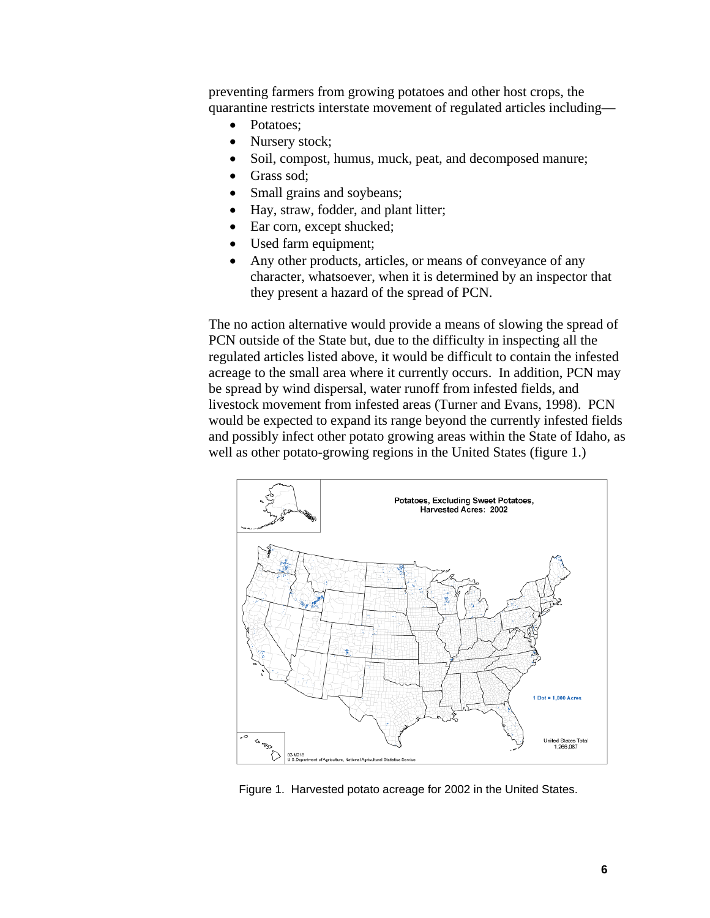preventing farmers from growing potatoes and other host crops, the quarantine restricts interstate movement of regulated articles including—

- Potatoes:
- Nursery stock;
- Soil, compost, humus, muck, peat, and decomposed manure;
- Grass sod:
- Small grains and soybeans;
- Hay, straw, fodder, and plant litter;
- Ear corn, except shucked;
- Used farm equipment;
- Any other products, articles, or means of conveyance of any character, whatsoever, when it is determined by an inspector that they present a hazard of the spread of PCN.

The no action alternative would provide a means of slowing the spread of PCN outside of the State but, due to the difficulty in inspecting all the regulated articles listed above, it would be difficult to contain the infested acreage to the small area where it currently occurs. In addition, PCN may be spread by wind dispersal, water runoff from infested fields, and livestock movement from infested areas (Turner and Evans, 1998). PCN would be expected to expand its range beyond the currently infested fields and possibly infect other potato growing areas within the State of Idaho, as well as other potato-growing regions in the United States (figure 1.)



Figure 1. Harvested potato acreage for 2002 in the United States.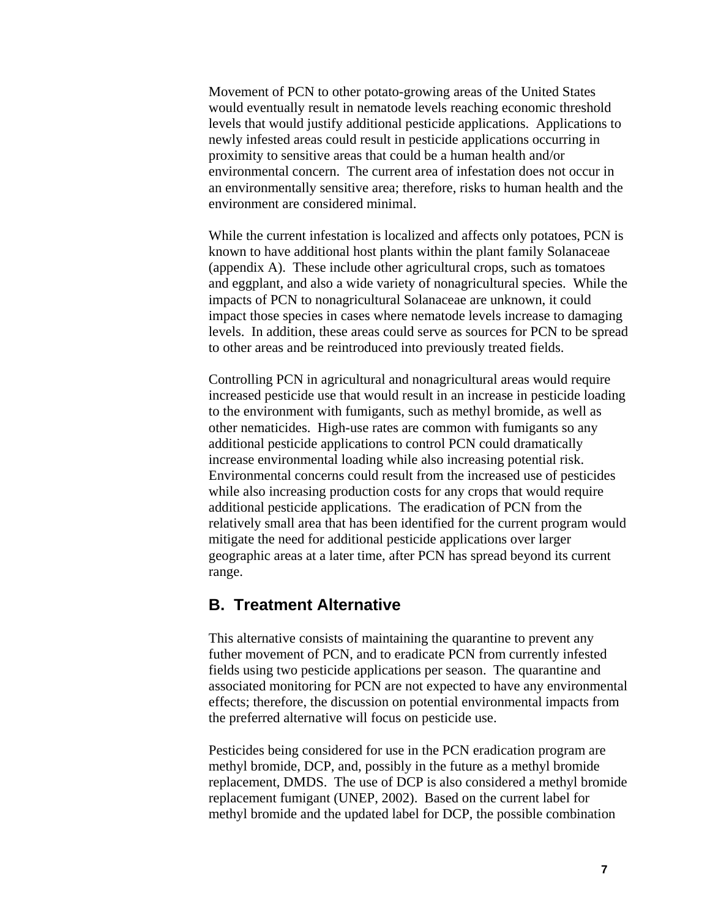<span id="page-9-0"></span>Movement of PCN to other potato-growing areas of the United States would eventually result in nematode levels reaching economic threshold levels that would justify additional pesticide applications. Applications to newly infested areas could result in pesticide applications occurring in proximity to sensitive areas that could be a human health and/or environmental concern. The current area of infestation does not occur in an environmentally sensitive area; therefore, risks to human health and the environment are considered minimal.

While the current infestation is localized and affects only potatoes, PCN is known to have additional host plants within the plant family Solanaceae (appendix A). These include other agricultural crops, such as tomatoes and eggplant, and also a wide variety of nonagricultural species. While the impacts of PCN to nonagricultural Solanaceae are unknown, it could impact those species in cases where nematode levels increase to damaging levels. In addition, these areas could serve as sources for PCN to be spread to other areas and be reintroduced into previously treated fields.

Controlling PCN in agricultural and nonagricultural areas would require increased pesticide use that would result in an increase in pesticide loading to the environment with fumigants, such as methyl bromide, as well as other nematicides. High-use rates are common with fumigants so any additional pesticide applications to control PCN could dramatically increase environmental loading while also increasing potential risk. Environmental concerns could result from the increased use of pesticides while also increasing production costs for any crops that would require additional pesticide applications. The eradication of PCN from the relatively small area that has been identified for the current program would mitigate the need for additional pesticide applications over larger geographic areas at a later time, after PCN has spread beyond its current range.

### **B. Treatment Alternative**

This alternative consists of maintaining the quarantine to prevent any futher movement of PCN, and to eradicate PCN from currently infested fields using two pesticide applications per season. The quarantine and associated monitoring for PCN are not expected to have any environmental effects; therefore, the discussion on potential environmental impacts from the preferred alternative will focus on pesticide use.

Pesticides being considered for use in the PCN eradication program are methyl bromide, DCP, and, possibly in the future as a methyl bromide replacement, DMDS. The use of DCP is also considered a methyl bromide replacement fumigant (UNEP, 2002). Based on the current label for methyl bromide and the updated label for DCP, the possible combination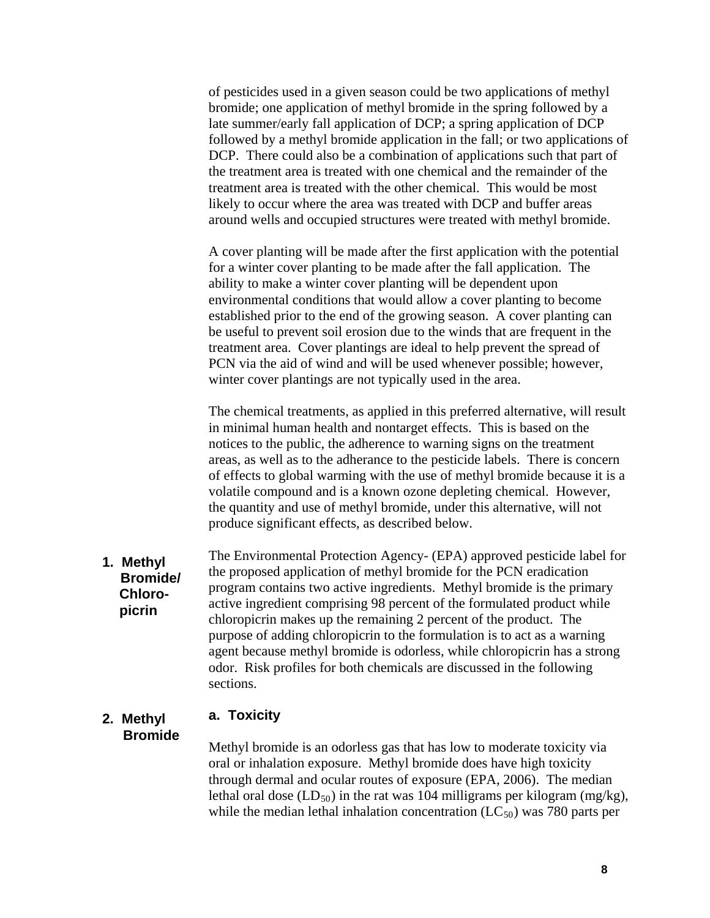of pesticides used in a given season could be two applications of methyl bromide; one application of methyl bromide in the spring followed by a late summer/early fall application of DCP; a spring application of DCP followed by a methyl bromide application in the fall; or two applications of DCP. There could also be a combination of applications such that part of the treatment area is treated with one chemical and the remainder of the treatment area is treated with the other chemical. This would be most likely to occur where the area was treated with DCP and buffer areas around wells and occupied structures were treated with methyl bromide.

A cover planting will be made after the first application with the potential for a winter cover planting to be made after the fall application. The ability to make a winter cover planting will be dependent upon environmental conditions that would allow a cover planting to become established prior to the end of the growing season. A cover planting can be useful to prevent soil erosion due to the winds that are frequent in the treatment area. Cover plantings are ideal to help prevent the spread of PCN via the aid of wind and will be used whenever possible; however, winter cover plantings are not typically used in the area.

The chemical treatments, as applied in this preferred alternative, will result in minimal human health and nontarget effects. This is based on the notices to the public, the adherence to warning signs on the treatment areas, as well as to the adherance to the pesticide labels. There is concern of effects to global warming with the use of methyl bromide because it is a volatile compound and is a known ozone depleting chemical. However, the quantity and use of methyl bromide, under this alternative, will not produce significant effects, as described below.

The Environmental Protection Agency- (EPA) approved pesticide label for the proposed application of methyl bromide for the PCN eradication program contains two active ingredients. Methyl bromide is the primary active ingredient comprising 98 percent of the formulated product while chloropicrin makes up the remaining 2 percent of the product. The purpose of adding chloropicrin to the formulation is to act as a warning agent because methyl bromide is odorless, while chloropicrin has a strong odor. Risk profiles for both chemicals are discussed in the following sections. **1. Methyl Bromide/ Chloro picrin** 

### **2. Methyl a. Toxicity**

 **Bromide** 

Methyl bromide is an odorless gas that has low to moderate toxicity via oral or inhalation exposure. Methyl bromide does have high toxicity through dermal and ocular routes of exposure (EPA, 2006). The median lethal oral dose  $(LD_{50})$  in the rat was 104 milligrams per kilogram (mg/kg), while the median lethal inhalation concentration  $(LC_{50})$  was 780 parts per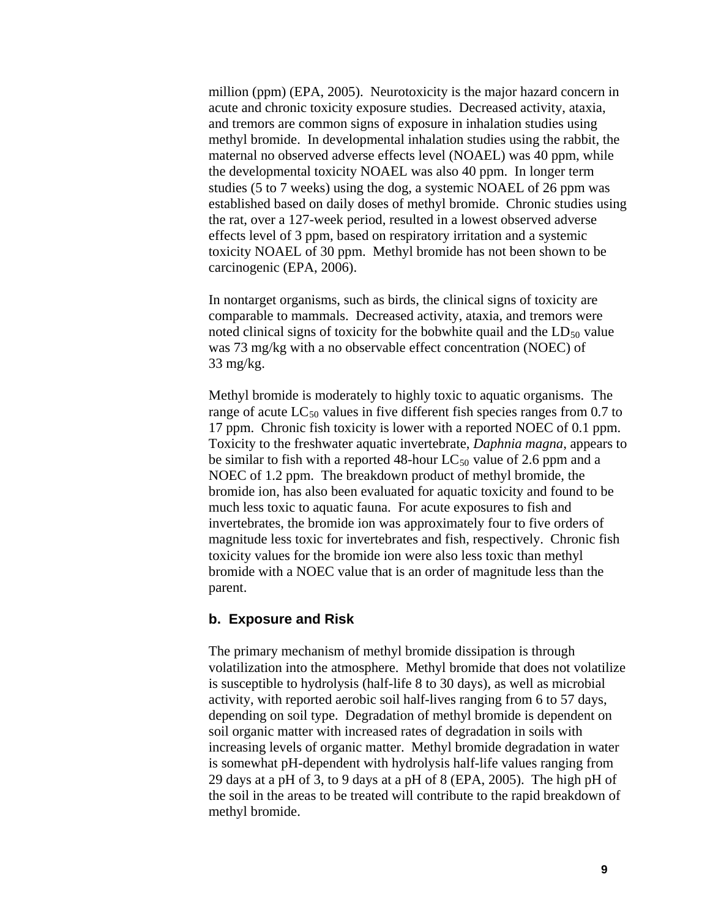million (ppm) (EPA, 2005). Neurotoxicity is the major hazard concern in acute and chronic toxicity exposure studies. Decreased activity, ataxia, and tremors are common signs of exposure in inhalation studies using methyl bromide. In developmental inhalation studies using the rabbit, the maternal no observed adverse effects level (NOAEL) was 40 ppm, while the developmental toxicity NOAEL was also 40 ppm. In longer term studies (5 to 7 weeks) using the dog, a systemic NOAEL of 26 ppm was established based on daily doses of methyl bromide. Chronic studies using the rat, over a 127-week period, resulted in a lowest observed adverse effects level of 3 ppm, based on respiratory irritation and a systemic toxicity NOAEL of 30 ppm. Methyl bromide has not been shown to be carcinogenic (EPA, 2006).

In nontarget organisms, such as birds, the clinical signs of toxicity are comparable to mammals. Decreased activity, ataxia, and tremors were noted clinical signs of toxicity for the bobwhite quail and the  $LD_{50}$  value was 73 mg/kg with a no observable effect concentration (NOEC) of 33 mg/kg.

Methyl bromide is moderately to highly toxic to aquatic organisms. The range of acute  $LC_{50}$  values in five different fish species ranges from 0.7 to 17 ppm. Chronic fish toxicity is lower with a reported NOEC of 0.1 ppm. Toxicity to the freshwater aquatic invertebrate, *Daphnia magna*, appears to be similar to fish with a reported 48-hour  $LC_{50}$  value of 2.6 ppm and a NOEC of 1.2 ppm. The breakdown product of methyl bromide, the bromide ion, has also been evaluated for aquatic toxicity and found to be much less toxic to aquatic fauna. For acute exposures to fish and invertebrates, the bromide ion was approximately four to five orders of magnitude less toxic for invertebrates and fish, respectively. Chronic fish toxicity values for the bromide ion were also less toxic than methyl bromide with a NOEC value that is an order of magnitude less than the parent.

#### **b. Exposure and Risk**

The primary mechanism of methyl bromide dissipation is through volatilization into the atmosphere. Methyl bromide that does not volatilize is susceptible to hydrolysis (half-life 8 to 30 days), as well as microbial activity, with reported aerobic soil half-lives ranging from 6 to 57 days, depending on soil type. Degradation of methyl bromide is dependent on soil organic matter with increased rates of degradation in soils with increasing levels of organic matter. Methyl bromide degradation in water is somewhat pH-dependent with hydrolysis half-life values ranging from 29 days at a pH of 3, to 9 days at a pH of 8 (EPA, 2005). The high pH of the soil in the areas to be treated will contribute to the rapid breakdown of methyl bromide.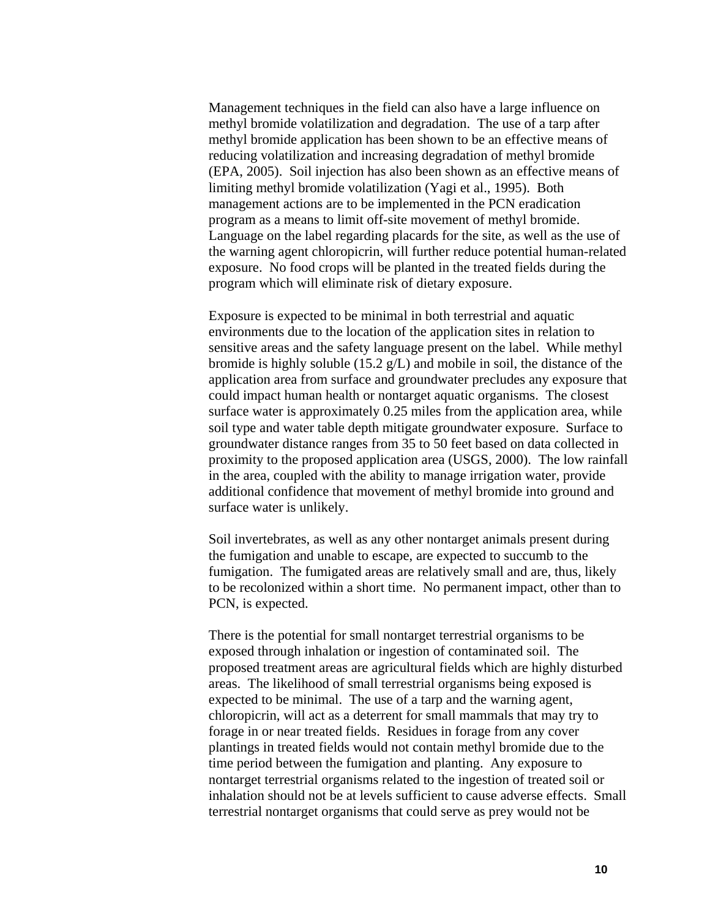Management techniques in the field can also have a large influence on methyl bromide volatilization and degradation. The use of a tarp after methyl bromide application has been shown to be an effective means of reducing volatilization and increasing degradation of methyl bromide (EPA, 2005). Soil injection has also been shown as an effective means of limiting methyl bromide volatilization (Yagi et al., 1995). Both management actions are to be implemented in the PCN eradication program as a means to limit off-site movement of methyl bromide. Language on the label regarding placards for the site, as well as the use of the warning agent chloropicrin, will further reduce potential human-related exposure. No food crops will be planted in the treated fields during the program which will eliminate risk of dietary exposure.

Exposure is expected to be minimal in both terrestrial and aquatic environments due to the location of the application sites in relation to sensitive areas and the safety language present on the label. While methyl bromide is highly soluble (15.2 g/L) and mobile in soil, the distance of the application area from surface and groundwater precludes any exposure that could impact human health or nontarget aquatic organisms. The closest surface water is approximately 0.25 miles from the application area, while soil type and water table depth mitigate groundwater exposure. Surface to groundwater distance ranges from 35 to 50 feet based on data collected in proximity to the proposed application area (USGS, 2000). The low rainfall in the area, coupled with the ability to manage irrigation water, provide additional confidence that movement of methyl bromide into ground and surface water is unlikely.

Soil invertebrates, as well as any other nontarget animals present during the fumigation and unable to escape, are expected to succumb to the fumigation. The fumigated areas are relatively small and are, thus, likely to be recolonized within a short time. No permanent impact, other than to PCN, is expected.

There is the potential for small nontarget terrestrial organisms to be exposed through inhalation or ingestion of contaminated soil. The proposed treatment areas are agricultural fields which are highly disturbed areas. The likelihood of small terrestrial organisms being exposed is expected to be minimal. The use of a tarp and the warning agent, chloropicrin, will act as a deterrent for small mammals that may try to forage in or near treated fields. Residues in forage from any cover plantings in treated fields would not contain methyl bromide due to the time period between the fumigation and planting. Any exposure to nontarget terrestrial organisms related to the ingestion of treated soil or inhalation should not be at levels sufficient to cause adverse effects. Small terrestrial nontarget organisms that could serve as prey would not be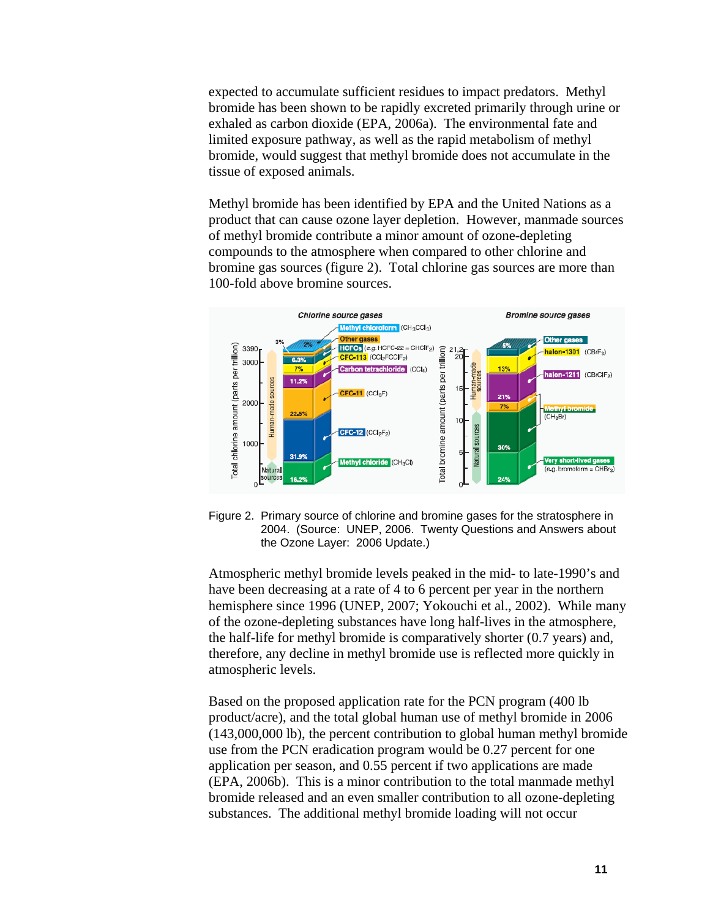expected to accumulate sufficient residues to impact predators. Methyl bromide has been shown to be rapidly excreted primarily through urine or exhaled as carbon dioxide (EPA, 2006a). The environmental fate and limited exposure pathway, as well as the rapid metabolism of methyl bromide, would suggest that methyl bromide does not accumulate in the tissue of exposed animals.

Methyl bromide has been identified by EPA and the United Nations as a product that can cause ozone layer depletion. However, manmade sources of methyl bromide contribute a minor amount of ozone-depleting compounds to the atmosphere when compared to other chlorine and bromine gas sources (figure 2). Total chlorine gas sources are more than 100-fold above bromine sources.



Figure 2. Primary source of chlorine and bromine gases for the stratosphere in 2004. (Source: UNEP, 2006. Twenty Questions and Answers about the Ozone Layer: 2006 Update.)

Atmospheric methyl bromide levels peaked in the mid- to late-1990's and have been decreasing at a rate of 4 to 6 percent per year in the northern hemisphere since 1996 (UNEP, 2007; Yokouchi et al., 2002). While many of the ozone-depleting substances have long half-lives in the atmosphere, the half-life for methyl bromide is comparatively shorter (0.7 years) and, therefore, any decline in methyl bromide use is reflected more quickly in atmospheric levels.

Based on the proposed application rate for the PCN program (400 lb product/acre), and the total global human use of methyl bromide in 2006 (143,000,000 lb), the percent contribution to global human methyl bromide use from the PCN eradication program would be 0.27 percent for one application per season, and 0.55 percent if two applications are made (EPA, 2006b). This is a minor contribution to the total manmade methyl bromide released and an even smaller contribution to all ozone-depleting substances. The additional methyl bromide loading will not occur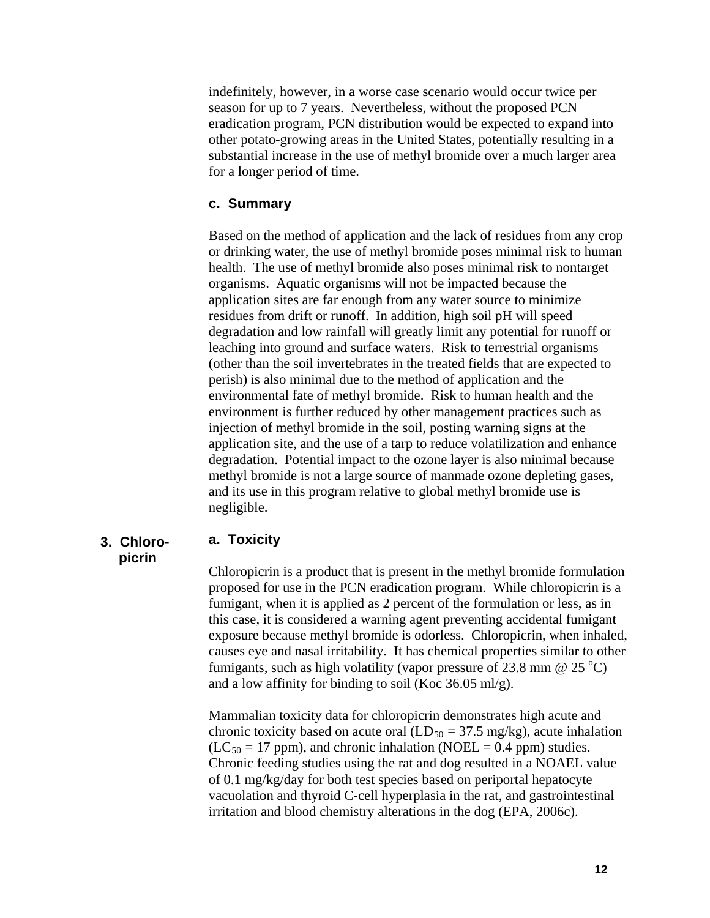indefinitely, however, in a worse case scenario would occur twice per season for up to 7 years. Nevertheless, without the proposed PCN eradication program, PCN distribution would be expected to expand into other potato-growing areas in the United States, potentially resulting in a substantial increase in the use of methyl bromide over a much larger area for a longer period of time.

#### **c. Summary**

Based on the method of application and the lack of residues from any crop or drinking water, the use of methyl bromide poses minimal risk to human health. The use of methyl bromide also poses minimal risk to nontarget organisms. Aquatic organisms will not be impacted because the application sites are far enough from any water source to minimize residues from drift or runoff. In addition, high soil pH will speed degradation and low rainfall will greatly limit any potential for runoff or leaching into ground and surface waters. Risk to terrestrial organisms (other than the soil invertebrates in the treated fields that are expected to perish) is also minimal due to the method of application and the environmental fate of methyl bromide. Risk to human health and the environment is further reduced by other management practices such as injection of methyl bromide in the soil, posting warning signs at the application site, and the use of a tarp to reduce volatilization and enhance degradation. Potential impact to the ozone layer is also minimal because methyl bromide is not a large source of manmade ozone depleting gases, and its use in this program relative to global methyl bromide use is negligible.

# **picrin**

### **3. Chloro- a. Toxicity**

Chloropicrin is a product that is present in the methyl bromide formulation proposed for use in the PCN eradication program. While chloropicrin is a fumigant, when it is applied as 2 percent of the formulation or less, as in this case, it is considered a warning agent preventing accidental fumigant exposure because methyl bromide is odorless. Chloropicrin, when inhaled, causes eye and nasal irritability. It has chemical properties similar to other fumigants, such as high volatility (vapor pressure of 23.8 mm  $\omega$  25 °C) and a low affinity for binding to soil (Koc 36.05 ml/g).

Mammalian toxicity data for chloropicrin demonstrates high acute and chronic toxicity based on acute oral  $(LD_{50} = 37.5 \text{ mg/kg})$ , acute inhalation  $(LC_{50} = 17$  ppm), and chronic inhalation (NOEL = 0.4 ppm) studies. Chronic feeding studies using the rat and dog resulted in a NOAEL value of 0.1 mg/kg/day for both test species based on periportal hepatocyte vacuolation and thyroid C-cell hyperplasia in the rat, and gastrointestinal irritation and blood chemistry alterations in the dog (EPA, 2006c).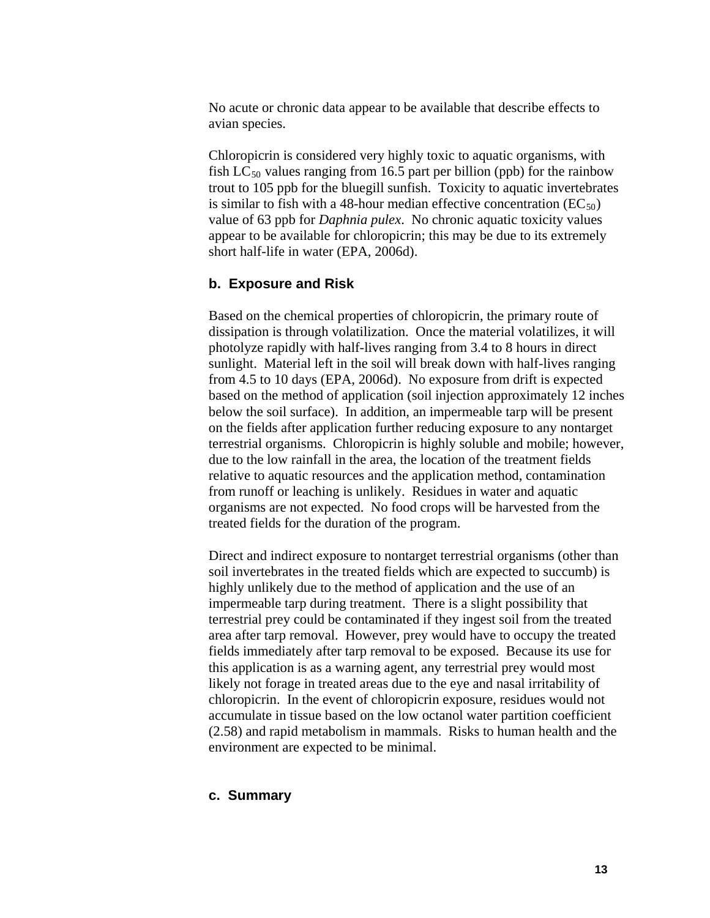No acute or chronic data appear to be available that describe effects to avian species.

Chloropicrin is considered very highly toxic to aquatic organisms, with fish  $LC_{50}$  values ranging from 16.5 part per billion (ppb) for the rainbow trout to 105 ppb for the bluegill sunfish. Toxicity to aquatic invertebrates is similar to fish with a 48-hour median effective concentration  $(EC_{50})$ value of 63 ppb for *Daphnia pulex*. No chronic aquatic toxicity values appear to be available for chloropicrin; this may be due to its extremely short half-life in water (EPA, 2006d).

#### **b. Exposure and Risk**

Based on the chemical properties of chloropicrin, the primary route of dissipation is through volatilization. Once the material volatilizes, it will photolyze rapidly with half-lives ranging from 3.4 to 8 hours in direct sunlight. Material left in the soil will break down with half-lives ranging from 4.5 to 10 days (EPA, 2006d). No exposure from drift is expected based on the method of application (soil injection approximately 12 inches below the soil surface). In addition, an impermeable tarp will be present on the fields after application further reducing exposure to any nontarget terrestrial organisms. Chloropicrin is highly soluble and mobile; however, due to the low rainfall in the area, the location of the treatment fields relative to aquatic resources and the application method, contamination from runoff or leaching is unlikely. Residues in water and aquatic organisms are not expected. No food crops will be harvested from the treated fields for the duration of the program.

Direct and indirect exposure to nontarget terrestrial organisms (other than soil invertebrates in the treated fields which are expected to succumb) is highly unlikely due to the method of application and the use of an impermeable tarp during treatment. There is a slight possibility that terrestrial prey could be contaminated if they ingest soil from the treated area after tarp removal. However, prey would have to occupy the treated fields immediately after tarp removal to be exposed. Because its use for this application is as a warning agent, any terrestrial prey would most likely not forage in treated areas due to the eye and nasal irritability of chloropicrin. In the event of chloropicrin exposure, residues would not accumulate in tissue based on the low octanol water partition coefficient (2.58) and rapid metabolism in mammals. Risks to human health and the environment are expected to be minimal.

#### **c. Summary**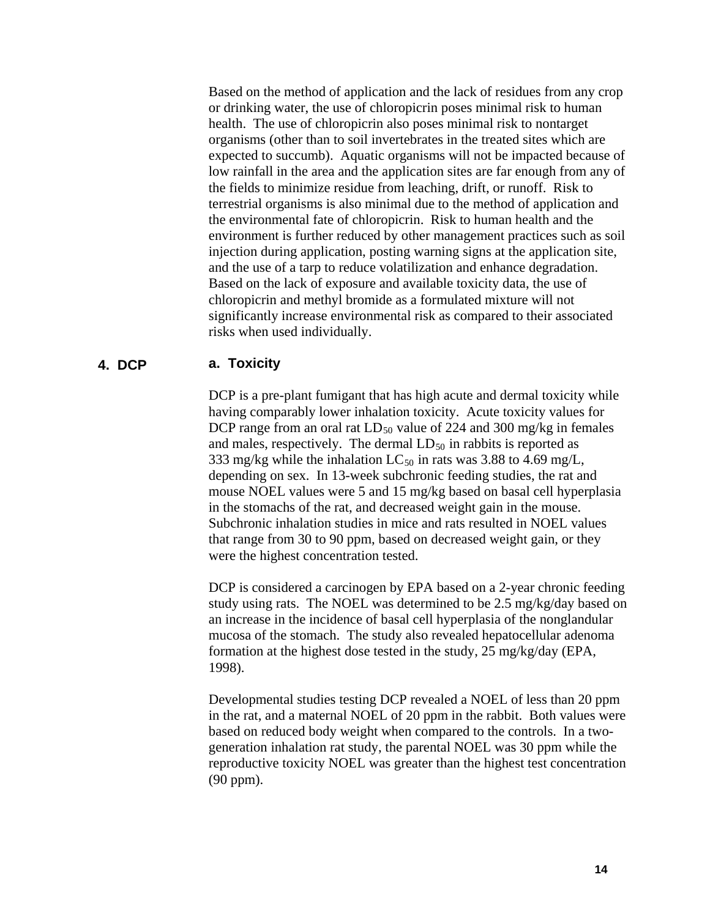Based on the method of application and the lack of residues from any crop or drinking water, the use of chloropicrin poses minimal risk to human health. The use of chloropicrin also poses minimal risk to nontarget organisms (other than to soil invertebrates in the treated sites which are expected to succumb). Aquatic organisms will not be impacted because of low rainfall in the area and the application sites are far enough from any of the fields to minimize residue from leaching, drift, or runoff. Risk to terrestrial organisms is also minimal due to the method of application and the environmental fate of chloropicrin. Risk to human health and the environment is further reduced by other management practices such as soil injection during application, posting warning signs at the application site, and the use of a tarp to reduce volatilization and enhance degradation. Based on the lack of exposure and available toxicity data, the use of chloropicrin and methyl bromide as a formulated mixture will not significantly increase environmental risk as compared to their associated risks when used individually.

### **4. DCP a. Toxicity**

DCP is a pre-plant fumigant that has high acute and dermal toxicity while having comparably lower inhalation toxicity. Acute toxicity values for DCP range from an oral rat  $LD_{50}$  value of 224 and 300 mg/kg in females and males, respectively. The dermal  $LD_{50}$  in rabbits is reported as 333 mg/kg while the inhalation  $LC_{50}$  in rats was 3.88 to 4.69 mg/L, depending on sex. In 13-week subchronic feeding studies, the rat and mouse NOEL values were 5 and 15 mg/kg based on basal cell hyperplasia in the stomachs of the rat, and decreased weight gain in the mouse. Subchronic inhalation studies in mice and rats resulted in NOEL values that range from 30 to 90 ppm, based on decreased weight gain, or they were the highest concentration tested.

DCP is considered a carcinogen by EPA based on a 2-year chronic feeding study using rats. The NOEL was determined to be 2.5 mg/kg/day based on an increase in the incidence of basal cell hyperplasia of the nonglandular mucosa of the stomach. The study also revealed hepatocellular adenoma formation at the highest dose tested in the study, 25 mg/kg/day (EPA, 1998).

Developmental studies testing DCP revealed a NOEL of less than 20 ppm in the rat, and a maternal NOEL of 20 ppm in the rabbit. Both values were based on reduced body weight when compared to the controls. In a twogeneration inhalation rat study, the parental NOEL was 30 ppm while the reproductive toxicity NOEL was greater than the highest test concentration (90 ppm).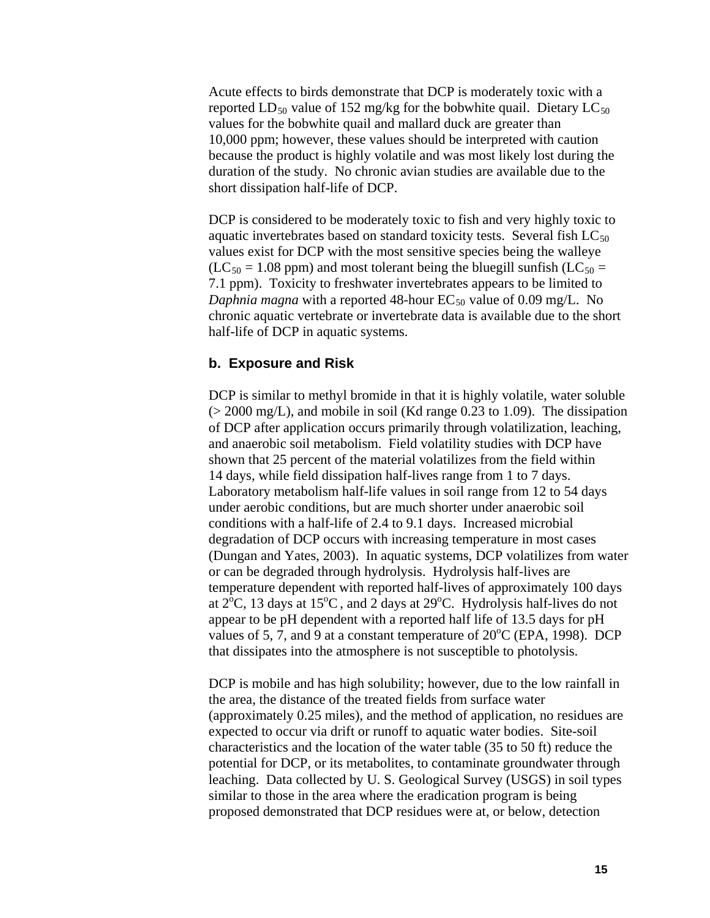Acute effects to birds demonstrate that DCP is moderately toxic with a reported  $LD_{50}$  value of 152 mg/kg for the bobwhite quail. Dietary  $LC_{50}$ values for the bobwhite quail and mallard duck are greater than 10,000 ppm; however, these values should be interpreted with caution because the product is highly volatile and was most likely lost during the duration of the study. No chronic avian studies are available due to the short dissipation half-life of DCP.

DCP is considered to be moderately toxic to fish and very highly toxic to aquatic invertebrates based on standard toxicity tests. Several fish  $LC_{50}$ values exist for DCP with the most sensitive species being the walleye  $(LC_{50} = 1.08$  ppm) and most tolerant being the bluegill sunfish  $(LC_{50} = 1.08$ 7.1 ppm). Toxicity to freshwater invertebrates appears to be limited to *Daphnia magna* with a reported 48-hour  $EC_{50}$  value of 0.09 mg/L. No chronic aquatic vertebrate or invertebrate data is available due to the short half-life of DCP in aquatic systems.

#### **b. Exposure and Risk**

DCP is similar to methyl bromide in that it is highly volatile, water soluble  $(> 2000 \text{ mg/L})$ , and mobile in soil (Kd range 0.23 to 1.09). The dissipation of DCP after application occurs primarily through volatilization, leaching, and anaerobic soil metabolism. Field volatility studies with DCP have shown that 25 percent of the material volatilizes from the field within 14 days, while field dissipation half-lives range from 1 to 7 days. Laboratory metabolism half-life values in soil range from 12 to 54 days under aerobic conditions, but are much shorter under anaerobic soil conditions with a half-life of 2.4 to 9.1 days. Increased microbial degradation of DCP occurs with increasing temperature in most cases (Dungan and Yates, 2003). In aquatic systems, DCP volatilizes from water or can be degraded through hydrolysis. Hydrolysis half-lives are temperature dependent with reported half-lives of approximately 100 days at  $2^{6}C$ , 13 days at 15<sup>o</sup>C, and 2 days at 29<sup>o</sup>C. Hydrolysis half-lives do not appear to be pH dependent with a reported half life of 13.5 days for pH values of 5,  $\overline{7}$ , and  $\overline{9}$  at a constant temperature of  $20^{\circ}$ C (EPA, 1998). DCP that dissipates into the atmosphere is not susceptible to photolysis.

DCP is mobile and has high solubility; however, due to the low rainfall in the area, the distance of the treated fields from surface water (approximately 0.25 miles), and the method of application, no residues are expected to occur via drift or runoff to aquatic water bodies. Site-soil characteristics and the location of the water table (35 to 50 ft) reduce the potential for DCP, or its metabolites, to contaminate groundwater through leaching. Data collected by U. S. Geological Survey (USGS) in soil types similar to those in the area where the eradication program is being proposed demonstrated that DCP residues were at, or below, detection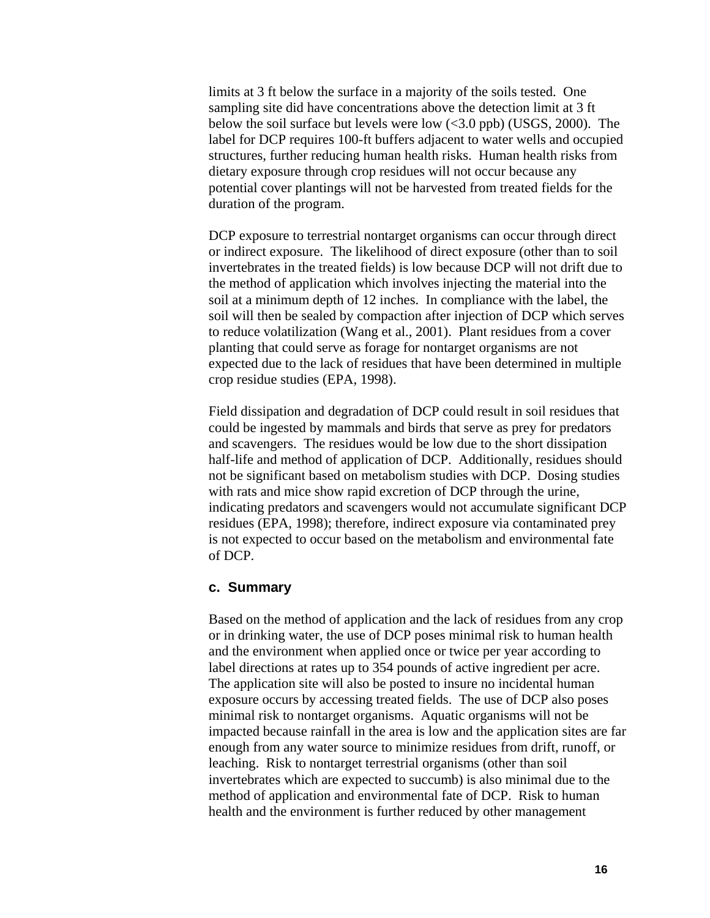limits at 3 ft below the surface in a majority of the soils tested. One sampling site did have concentrations above the detection limit at 3 ft below the soil surface but levels were low  $\langle 3.0 \text{ pb} \rangle$  (USGS, 2000). The label for DCP requires 100-ft buffers adjacent to water wells and occupied structures, further reducing human health risks. Human health risks from dietary exposure through crop residues will not occur because any potential cover plantings will not be harvested from treated fields for the duration of the program.

DCP exposure to terrestrial nontarget organisms can occur through direct or indirect exposure. The likelihood of direct exposure (other than to soil invertebrates in the treated fields) is low because DCP will not drift due to the method of application which involves injecting the material into the soil at a minimum depth of 12 inches. In compliance with the label, the soil will then be sealed by compaction after injection of DCP which serves to reduce volatilization (Wang et al., 2001). Plant residues from a cover planting that could serve as forage for nontarget organisms are not expected due to the lack of residues that have been determined in multiple crop residue studies (EPA, 1998).

Field dissipation and degradation of DCP could result in soil residues that could be ingested by mammals and birds that serve as prey for predators and scavengers. The residues would be low due to the short dissipation half-life and method of application of DCP. Additionally, residues should not be significant based on metabolism studies with DCP. Dosing studies with rats and mice show rapid excretion of DCP through the urine, indicating predators and scavengers would not accumulate significant DCP residues (EPA, 1998); therefore, indirect exposure via contaminated prey is not expected to occur based on the metabolism and environmental fate of DCP.

#### **c. Summary**

Based on the method of application and the lack of residues from any crop or in drinking water, the use of DCP poses minimal risk to human health and the environment when applied once or twice per year according to label directions at rates up to 354 pounds of active ingredient per acre. The application site will also be posted to insure no incidental human exposure occurs by accessing treated fields. The use of DCP also poses minimal risk to nontarget organisms. Aquatic organisms will not be impacted because rainfall in the area is low and the application sites are far enough from any water source to minimize residues from drift, runoff, or leaching. Risk to nontarget terrestrial organisms (other than soil invertebrates which are expected to succumb) is also minimal due to the method of application and environmental fate of DCP. Risk to human health and the environment is further reduced by other management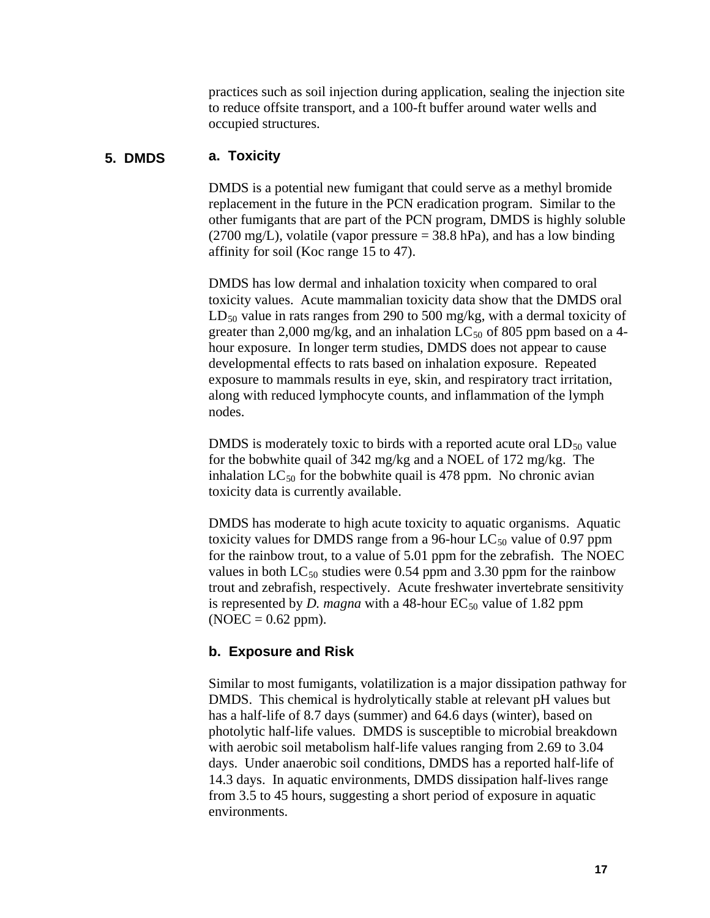practices such as soil injection during application, sealing the injection site to reduce offsite transport, and a 100-ft buffer around water wells and occupied structures.

#### **5. DMDS a. Toxicity**

DMDS is a potential new fumigant that could serve as a methyl bromide replacement in the future in the PCN eradication program. Similar to the other fumigants that are part of the PCN program, DMDS is highly soluble  $(2700 \text{ mg/L})$ , volatile (vapor pressure = 38.8 hPa), and has a low binding affinity for soil (Koc range 15 to 47).

DMDS has low dermal and inhalation toxicity when compared to oral toxicity values. Acute mammalian toxicity data show that the DMDS oral  $LD_{50}$  value in rats ranges from 290 to 500 mg/kg, with a dermal toxicity of greater than 2,000 mg/kg, and an inhalation  $LC_{50}$  of 805 ppm based on a 4hour exposure. In longer term studies, DMDS does not appear to cause developmental effects to rats based on inhalation exposure. Repeated exposure to mammals results in eye, skin, and respiratory tract irritation, along with reduced lymphocyte counts, and inflammation of the lymph nodes.

DMDS is moderately toxic to birds with a reported acute oral  $LD_{50}$  value for the bobwhite quail of 342 mg/kg and a NOEL of 172 mg/kg. The inhalation  $LC_{50}$  for the bobwhite quail is 478 ppm. No chronic avian toxicity data is currently available.

DMDS has moderate to high acute toxicity to aquatic organisms. Aquatic toxicity values for DMDS range from a 96-hour  $LC_{50}$  value of 0.97 ppm for the rainbow trout, to a value of 5.01 ppm for the zebrafish. The NOEC values in both  $LC_{50}$  studies were 0.54 ppm and 3.30 ppm for the rainbow trout and zebrafish, respectively. Acute freshwater invertebrate sensitivity is represented by *D. magna* with a 48-hour  $EC_{50}$  value of 1.82 ppm  $(NOEC = 0.62$  ppm).

#### **b. Exposure and Risk**

Similar to most fumigants, volatilization is a major dissipation pathway for DMDS. This chemical is hydrolytically stable at relevant pH values but has a half-life of 8.7 days (summer) and 64.6 days (winter), based on photolytic half-life values. DMDS is susceptible to microbial breakdown with aerobic soil metabolism half-life values ranging from 2.69 to 3.04 days. Under anaerobic soil conditions, DMDS has a reported half-life of 14.3 days. In aquatic environments, DMDS dissipation half-lives range from 3.5 to 45 hours, suggesting a short period of exposure in aquatic environments.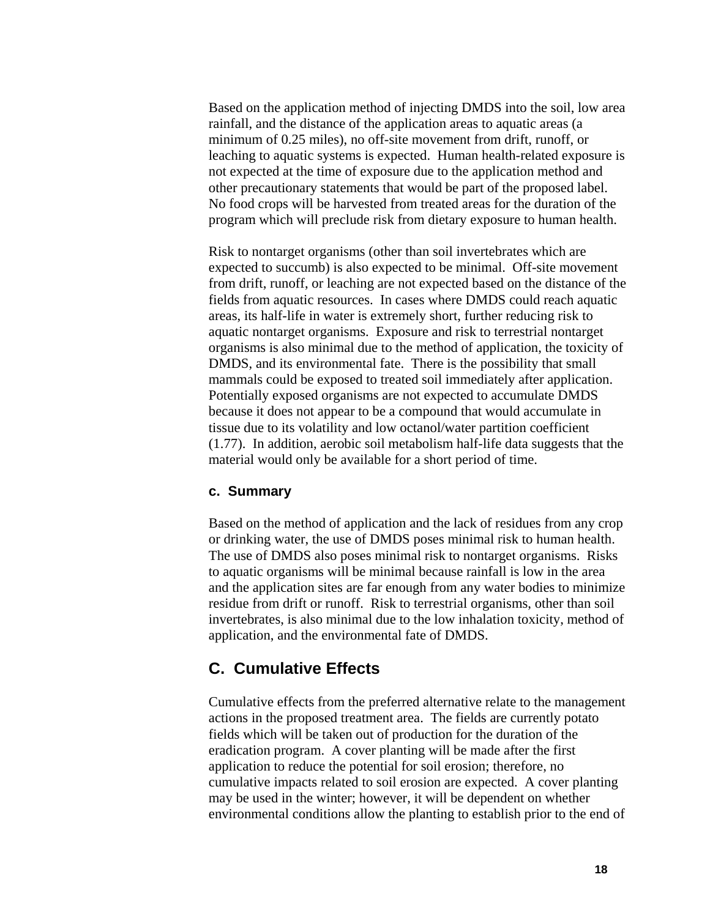<span id="page-20-0"></span>Based on the application method of injecting DMDS into the soil, low area rainfall, and the distance of the application areas to aquatic areas (a minimum of 0.25 miles), no off-site movement from drift, runoff, or leaching to aquatic systems is expected. Human health-related exposure is not expected at the time of exposure due to the application method and other precautionary statements that would be part of the proposed label. No food crops will be harvested from treated areas for the duration of the program which will preclude risk from dietary exposure to human health.

Risk to nontarget organisms (other than soil invertebrates which are expected to succumb) is also expected to be minimal. Off-site movement from drift, runoff, or leaching are not expected based on the distance of the fields from aquatic resources. In cases where DMDS could reach aquatic areas, its half-life in water is extremely short, further reducing risk to aquatic nontarget organisms. Exposure and risk to terrestrial nontarget organisms is also minimal due to the method of application, the toxicity of DMDS, and its environmental fate. There is the possibility that small mammals could be exposed to treated soil immediately after application. Potentially exposed organisms are not expected to accumulate DMDS because it does not appear to be a compound that would accumulate in tissue due to its volatility and low octanol/water partition coefficient (1.77). In addition, aerobic soil metabolism half-life data suggests that the material would only be available for a short period of time.

#### **c. Summary**

Based on the method of application and the lack of residues from any crop or drinking water, the use of DMDS poses minimal risk to human health. The use of DMDS also poses minimal risk to nontarget organisms. Risks to aquatic organisms will be minimal because rainfall is low in the area and the application sites are far enough from any water bodies to minimize residue from drift or runoff. Risk to terrestrial organisms, other than soil invertebrates, is also minimal due to the low inhalation toxicity, method of application, and the environmental fate of DMDS.

### **C. Cumulative Effects**

Cumulative effects from the preferred alternative relate to the management actions in the proposed treatment area. The fields are currently potato fields which will be taken out of production for the duration of the eradication program. A cover planting will be made after the first application to reduce the potential for soil erosion; therefore, no cumulative impacts related to soil erosion are expected. A cover planting may be used in the winter; however, it will be dependent on whether environmental conditions allow the planting to establish prior to the end of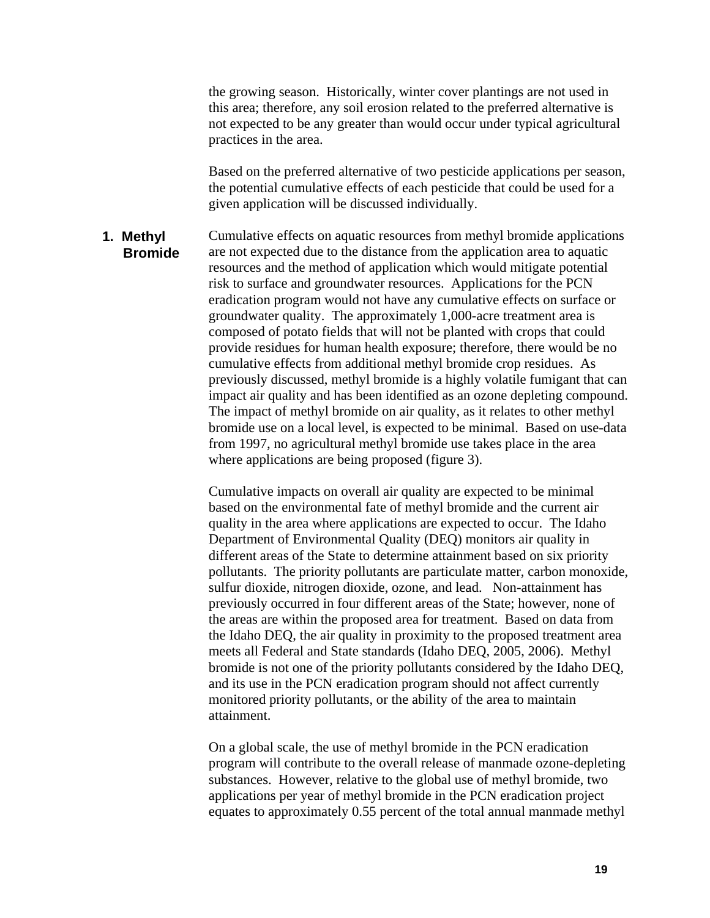the growing season. Historically, winter cover plantings are not used in this area; therefore, any soil erosion related to the preferred alternative is not expected to be any greater than would occur under typical agricultural practices in the area.

Based on the preferred alternative of two pesticide applications per season, the potential cumulative effects of each pesticide that could be used for a given application will be discussed individually.

Cumulative effects on aquatic resources from methyl bromide applications are not expected due to the distance from the application area to aquatic resources and the method of application which would mitigate potential risk to surface and groundwater resources. Applications for the PCN eradication program would not have any cumulative effects on surface or groundwater quality. The approximately 1,000-acre treatment area is composed of potato fields that will not be planted with crops that could provide residues for human health exposure; therefore, there would be no cumulative effects from additional methyl bromide crop residues. As previously discussed, methyl bromide is a highly volatile fumigant that can impact air quality and has been identified as an ozone depleting compound. The impact of methyl bromide on air quality, as it relates to other methyl bromide use on a local level, is expected to be minimal. Based on use-data from 1997, no agricultural methyl bromide use takes place in the area where applications are being proposed (figure 3). **1. Methyl Bromide** 

> Cumulative impacts on overall air quality are expected to be minimal based on the environmental fate of methyl bromide and the current air quality in the area where applications are expected to occur. The Idaho Department of Environmental Quality (DEQ) monitors air quality in different areas of the State to determine attainment based on six priority pollutants. The priority pollutants are particulate matter, carbon monoxide, sulfur dioxide, nitrogen dioxide, ozone, and lead. Non-attainment has previously occurred in four different areas of the State; however, none of the areas are within the proposed area for treatment. Based on data from the Idaho DEQ, the air quality in proximity to the proposed treatment area meets all Federal and State standards (Idaho DEQ, 2005, 2006). Methyl bromide is not one of the priority pollutants considered by the Idaho DEQ, and its use in the PCN eradication program should not affect currently monitored priority pollutants, or the ability of the area to maintain attainment.

> On a global scale, the use of methyl bromide in the PCN eradication program will contribute to the overall release of manmade ozone-depleting substances. However, relative to the global use of methyl bromide, two applications per year of methyl bromide in the PCN eradication project equates to approximately 0.55 percent of the total annual manmade methyl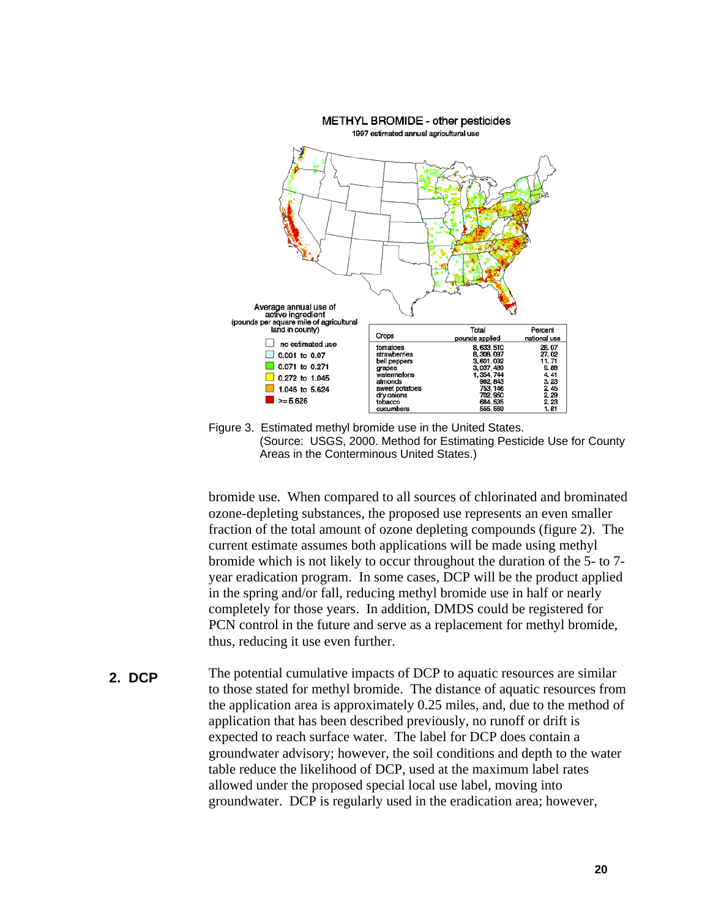

 (Source: USGS, 2000. Method for Estimating Pesticide Use for County Areas in the Conterminous United States.)

bromide use. When compared to all sources of chlorinated and brominated ozone-depleting substances, the proposed use represents an even smaller fraction of the total amount of ozone depleting compounds (figure 2). The current estimate assumes both applications will be made using methyl bromide which is not likely to occur throughout the duration of the 5- to 7 year eradication program. In some cases, DCP will be the product applied in the spring and/or fall, reducing methyl bromide use in half or nearly completely for those years. In addition, DMDS could be registered for PCN control in the future and serve as a replacement for methyl bromide, thus, reducing it use even further.

The potential cumulative impacts of DCP to aquatic resources are similar to those stated for methyl bromide. The distance of aquatic resources from the application area is approximately 0.25 miles, and, due to the method of application that has been described previously, no runoff or drift is expected to reach surface water. The label for DCP does contain a groundwater advisory; however, the soil conditions and depth to the water table reduce the likelihood of DCP, used at the maximum label rates allowed under the proposed special local use label, moving into groundwater. DCP is regularly used in the eradication area; however, **2. DCP**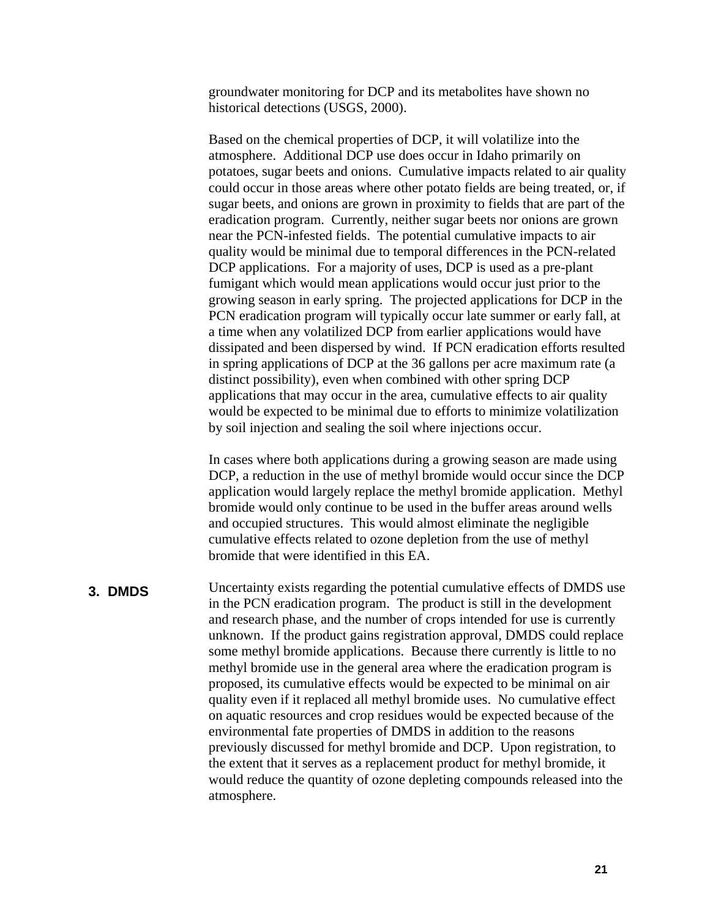groundwater monitoring for DCP and its metabolites have shown no historical detections (USGS, 2000).

Based on the chemical properties of DCP, it will volatilize into the atmosphere. Additional DCP use does occur in Idaho primarily on potatoes, sugar beets and onions. Cumulative impacts related to air quality could occur in those areas where other potato fields are being treated, or, if sugar beets, and onions are grown in proximity to fields that are part of the eradication program. Currently, neither sugar beets nor onions are grown near the PCN-infested fields. The potential cumulative impacts to air quality would be minimal due to temporal differences in the PCN-related DCP applications. For a majority of uses, DCP is used as a pre-plant fumigant which would mean applications would occur just prior to the growing season in early spring. The projected applications for DCP in the PCN eradication program will typically occur late summer or early fall, at a time when any volatilized DCP from earlier applications would have dissipated and been dispersed by wind. If PCN eradication efforts resulted in spring applications of DCP at the 36 gallons per acre maximum rate (a distinct possibility), even when combined with other spring DCP applications that may occur in the area, cumulative effects to air quality would be expected to be minimal due to efforts to minimize volatilization by soil injection and sealing the soil where injections occur.

In cases where both applications during a growing season are made using DCP, a reduction in the use of methyl bromide would occur since the DCP application would largely replace the methyl bromide application. Methyl bromide would only continue to be used in the buffer areas around wells and occupied structures. This would almost eliminate the negligible cumulative effects related to ozone depletion from the use of methyl bromide that were identified in this EA.

#### **3. DMDS**

Uncertainty exists regarding the potential cumulative effects of DMDS use in the PCN eradication program. The product is still in the development and research phase, and the number of crops intended for use is currently unknown. If the product gains registration approval, DMDS could replace some methyl bromide applications. Because there currently is little to no methyl bromide use in the general area where the eradication program is proposed, its cumulative effects would be expected to be minimal on air quality even if it replaced all methyl bromide uses. No cumulative effect on aquatic resources and crop residues would be expected because of the environmental fate properties of DMDS in addition to the reasons previously discussed for methyl bromide and DCP. Upon registration, to the extent that it serves as a replacement product for methyl bromide, it would reduce the quantity of ozone depleting compounds released into the atmosphere.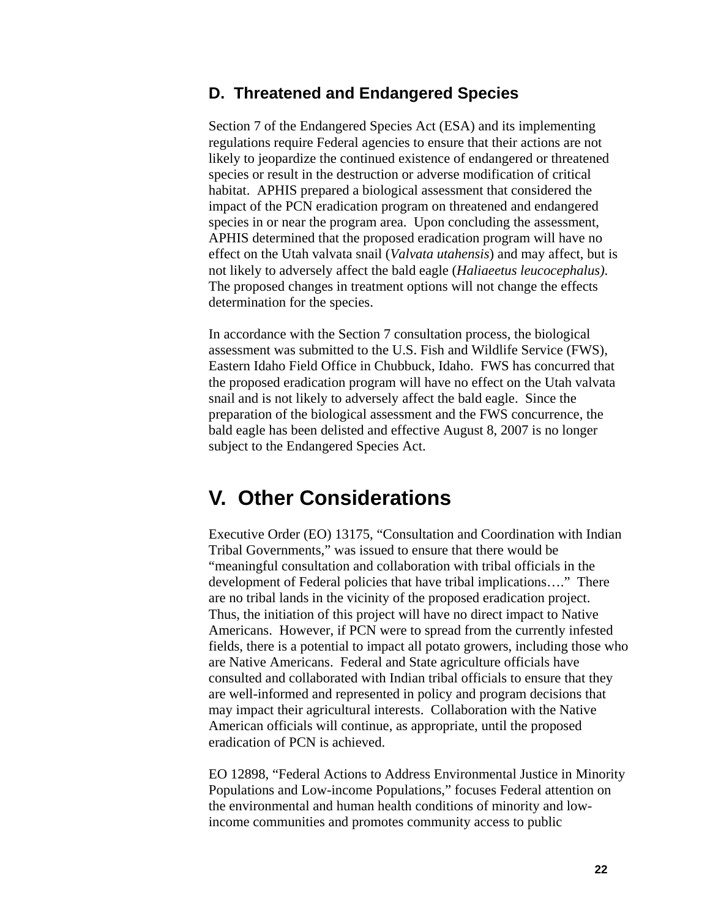### <span id="page-24-0"></span>**D. Threatened and Endangered Species**

Section 7 of the Endangered Species Act (ESA) and its implementing regulations require Federal agencies to ensure that their actions are not likely to jeopardize the continued existence of endangered or threatened species or result in the destruction or adverse modification of critical habitat. APHIS prepared a biological assessment that considered the impact of the PCN eradication program on threatened and endangered species in or near the program area. Upon concluding the assessment, APHIS determined that the proposed eradication program will have no effect on the Utah valvata snail (*Valvata utahensis*) and may affect, but is not likely to adversely affect the bald eagle (*Haliaeetus leucocephalus)*. The proposed changes in treatment options will not change the effects determination for the species.

In accordance with the Section 7 consultation process, the biological assessment was submitted to the U.S. Fish and Wildlife Service (FWS), Eastern Idaho Field Office in Chubbuck, Idaho. FWS has concurred that the proposed eradication program will have no effect on the Utah valvata snail and is not likely to adversely affect the bald eagle. Since the preparation of the biological assessment and the FWS concurrence, the bald eagle has been delisted and effective August 8, 2007 is no longer subject to the Endangered Species Act.

# **V. Other Considerations**

Executive Order (EO) 13175, "Consultation and Coordination with Indian Tribal Governments," was issued to ensure that there would be "meaningful consultation and collaboration with tribal officials in the development of Federal policies that have tribal implications…." There are no tribal lands in the vicinity of the proposed eradication project. Thus, the initiation of this project will have no direct impact to Native Americans. However, if PCN were to spread from the currently infested fields, there is a potential to impact all potato growers, including those who are Native Americans. Federal and State agriculture officials have consulted and collaborated with Indian tribal officials to ensure that they are well-informed and represented in policy and program decisions that may impact their agricultural interests. Collaboration with the Native American officials will continue, as appropriate, until the proposed eradication of PCN is achieved.

EO 12898, "Federal Actions to Address Environmental Justice in Minority Populations and Low-income Populations," focuses Federal attention on the environmental and human health conditions of minority and lowincome communities and promotes community access to public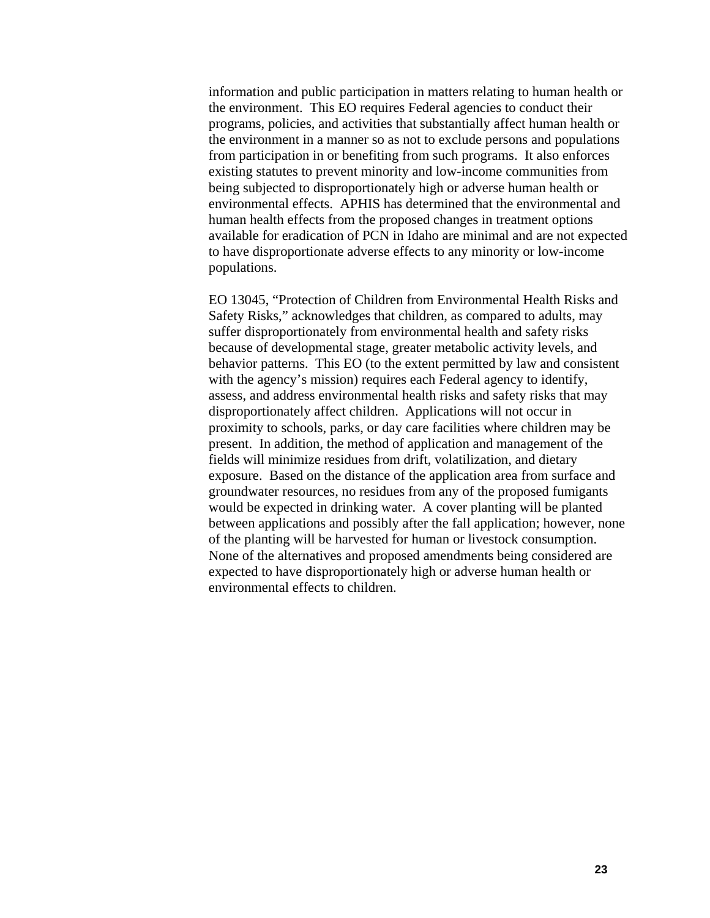information and public participation in matters relating to human health or the environment. This EO requires Federal agencies to conduct their programs, policies, and activities that substantially affect human health or the environment in a manner so as not to exclude persons and populations from participation in or benefiting from such programs. It also enforces existing statutes to prevent minority and low-income communities from being subjected to disproportionately high or adverse human health or environmental effects. APHIS has determined that the environmental and human health effects from the proposed changes in treatment options available for eradication of PCN in Idaho are minimal and are not expected to have disproportionate adverse effects to any minority or low-income populations.

EO 13045, "Protection of Children from Environmental Health Risks and Safety Risks," acknowledges that children, as compared to adults, may suffer disproportionately from environmental health and safety risks because of developmental stage, greater metabolic activity levels, and behavior patterns. This EO (to the extent permitted by law and consistent with the agency's mission) requires each Federal agency to identify, assess, and address environmental health risks and safety risks that may disproportionately affect children. Applications will not occur in proximity to schools, parks, or day care facilities where children may be present. In addition, the method of application and management of the fields will minimize residues from drift, volatilization, and dietary exposure. Based on the distance of the application area from surface and groundwater resources, no residues from any of the proposed fumigants would be expected in drinking water. A cover planting will be planted between applications and possibly after the fall application; however, none of the planting will be harvested for human or livestock consumption. None of the alternatives and proposed amendments being considered are expected to have disproportionately high or adverse human health or environmental effects to children.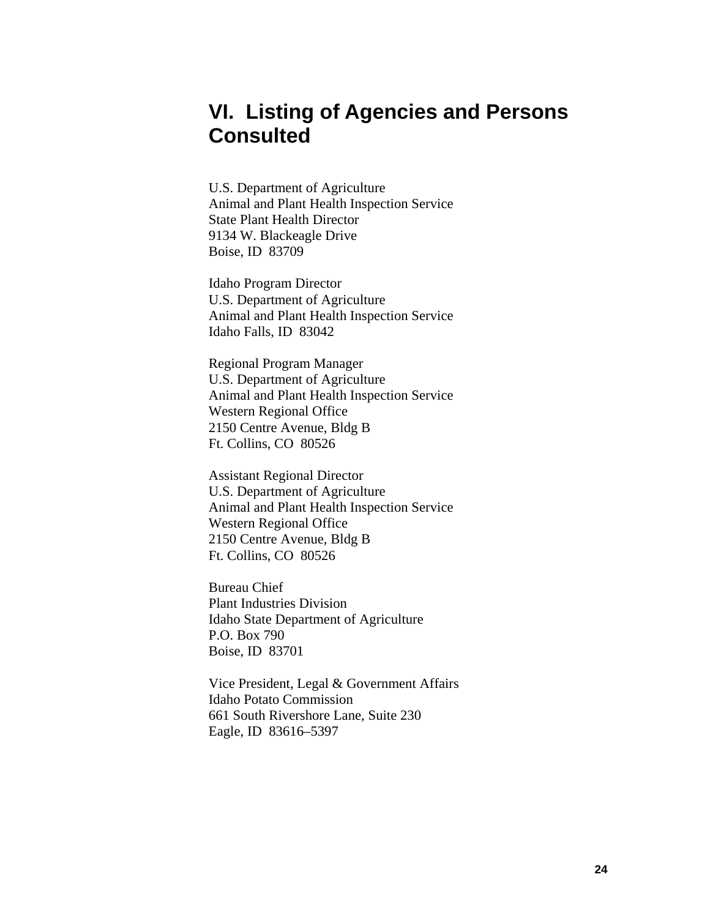# <span id="page-26-0"></span>**VI. Listing of Agencies and Persons Consulted**

U.S. Department of Agriculture Animal and Plant Health Inspection Service State Plant Health Director 9134 W. Blackeagle Drive Boise, ID 83709

Idaho Program Director U.S. Department of Agriculture Animal and Plant Health Inspection Service Idaho Falls, ID 83042

Regional Program Manager U.S. Department of Agriculture Animal and Plant Health Inspection Service Western Regional Office 2150 Centre Avenue, Bldg B Ft. Collins, CO 80526

Assistant Regional Director U.S. Department of Agriculture Animal and Plant Health Inspection Service Western Regional Office 2150 Centre Avenue, Bldg B Ft. Collins, CO 80526

Bureau Chief Plant Industries Division Idaho State Department of Agriculture P.O. Box 790 Boise, ID 83701

Vice President, Legal & Government Affairs Idaho Potato Commission 661 South Rivershore Lane, Suite 230 Eagle, ID 83616–5397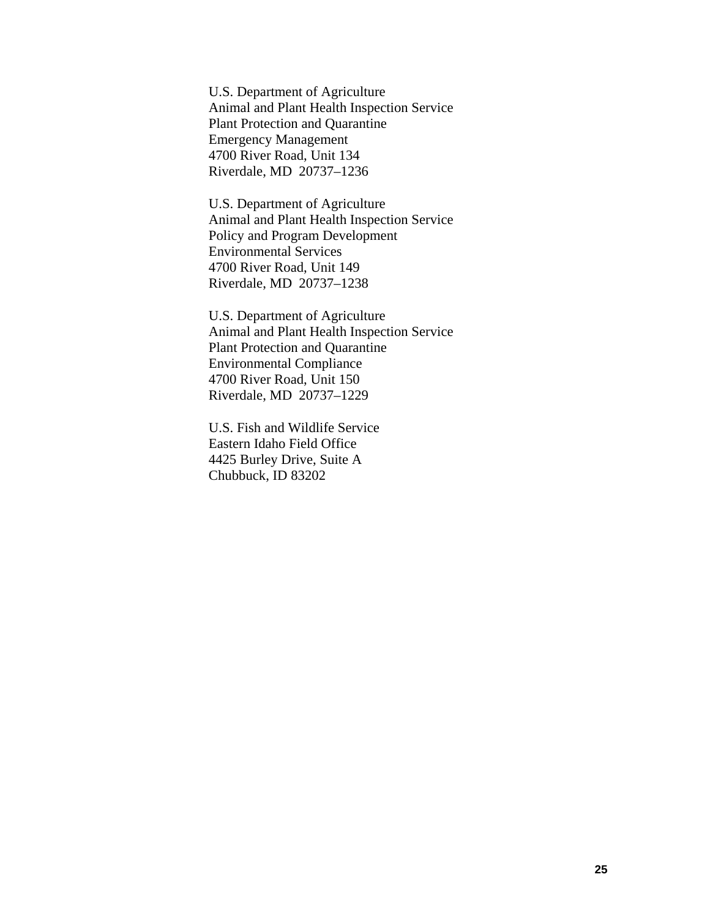U.S. Department of Agriculture Animal and Plant Health Inspection Service Plant Protection and Quarantine Emergency Management 4700 River Road, Unit 134 Riverdale, MD 20737–1236

U.S. Department of Agriculture Animal and Plant Health Inspection Service Policy and Program Development Environmental Services 4700 River Road, Unit 149 Riverdale, MD 20737–1238

U.S. Department of Agriculture Animal and Plant Health Inspection Service Plant Protection and Quarantine Environmental Compliance 4700 River Road, Unit 150 Riverdale, MD 20737–1229

U.S. Fish and Wildlife Service Eastern Idaho Field Office 4425 Burley Drive, Suite A Chubbuck, ID 83202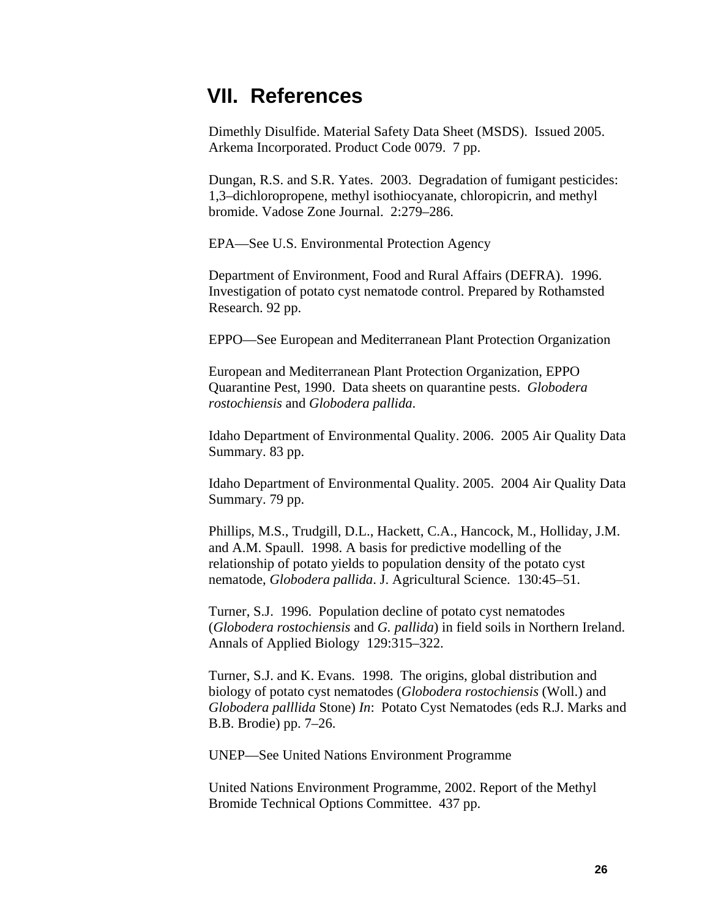# <span id="page-28-0"></span>**VII. References**

Dimethly Disulfide. Material Safety Data Sheet (MSDS). Issued 2005. Arkema Incorporated. Product Code 0079. 7 pp.

Dungan, R.S. and S.R. Yates. 2003. Degradation of fumigant pesticides: 1,3–dichloropropene, methyl isothiocyanate, chloropicrin, and methyl bromide. Vadose Zone Journal. 2:279–286.

EPA—See U.S. Environmental Protection Agency

Department of Environment, Food and Rural Affairs (DEFRA). 1996. Investigation of potato cyst nematode control. Prepared by Rothamsted Research. 92 pp.

EPPO—See European and Mediterranean Plant Protection Organization

European and Mediterranean Plant Protection Organization, EPPO Quarantine Pest, 1990. Data sheets on quarantine pests. *Globodera rostochiensis* and *Globodera pallida*.

Idaho Department of Environmental Quality. 2006. 2005 Air Quality Data Summary. 83 pp.

Idaho Department of Environmental Quality. 2005. 2004 Air Quality Data Summary. 79 pp.

Phillips, M.S., Trudgill, D.L., Hackett, C.A., Hancock, M., Holliday, J.M. and A.M. Spaull. 1998. A basis for predictive modelling of the relationship of potato yields to population density of the potato cyst nematode, *Globodera pallida*. J. Agricultural Science. 130:45–51.

Turner, S.J. 1996. Population decline of potato cyst nematodes (*Globodera rostochiensis* and *G. pallida*) in field soils in Northern Ireland. Annals of Applied Biology 129:315–322.

Turner, S.J. and K. Evans. 1998. The origins, global distribution and biology of potato cyst nematodes (*Globodera rostochiensis* (Woll.) and *Globodera palllida* Stone) *In*: Potato Cyst Nematodes (eds R.J. Marks and B.B. Brodie) pp. 7–26.

UNEP—See United Nations Environment Programme

United Nations Environment Programme, 2002. Report of the Methyl Bromide Technical Options Committee. 437 pp.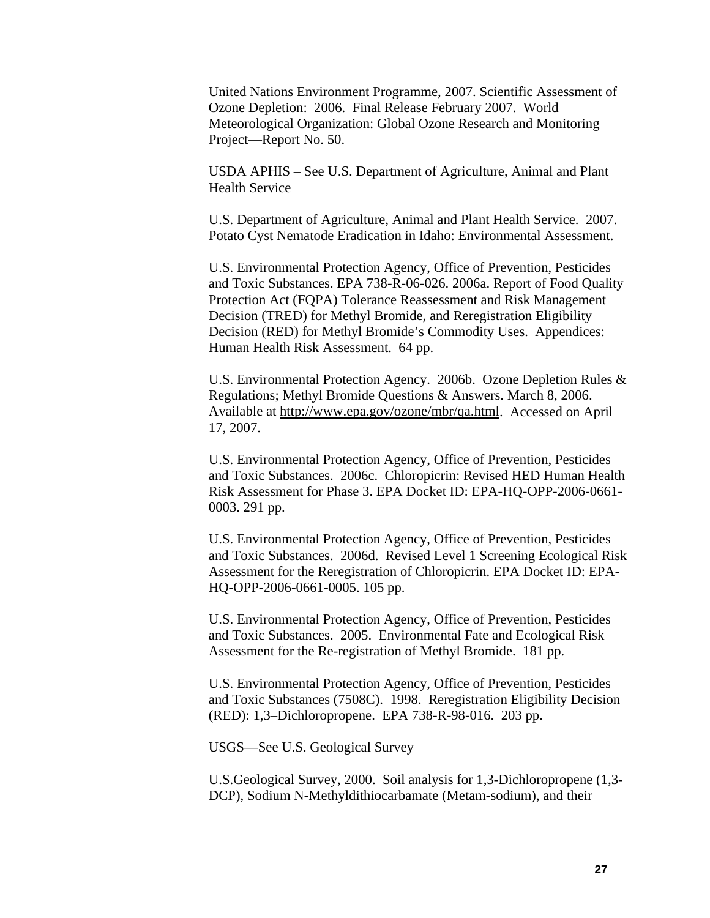United Nations Environment Programme, 2007. Scientific Assessment of Ozone Depletion: 2006. Final Release February 2007. World Meteorological Organization: Global Ozone Research and Monitoring Project—Report No. 50.

USDA APHIS – See U.S. Department of Agriculture, Animal and Plant Health Service

U.S. Department of Agriculture, Animal and Plant Health Service. 2007. Potato Cyst Nematode Eradication in Idaho: Environmental Assessment.

U.S. Environmental Protection Agency, Office of Prevention, Pesticides and Toxic Substances. EPA 738-R-06-026. 2006a. Report of Food Quality Protection Act (FQPA) Tolerance Reassessment and Risk Management Decision (TRED) for Methyl Bromide, and Reregistration Eligibility Decision (RED) for Methyl Bromide's Commodity Uses. Appendices: Human Health Risk Assessment. 64 pp.

U.S. Environmental Protection Agency. 2006b. Ozone Depletion Rules & Regulations; Methyl Bromide Questions & Answers. March 8, 2006. Available at [http://www.epa.gov/ozone/mbr/qa.html.](http://www.epa.gov/ozone/mbr/qa.html) Accessed on April 17, 2007.

U.S. Environmental Protection Agency, Office of Prevention, Pesticides and Toxic Substances. 2006c. Chloropicrin: Revised HED Human Health Risk Assessment for Phase 3. EPA Docket ID: EPA-HQ-OPP-2006-0661- 0003. 291 pp.

U.S. Environmental Protection Agency, Office of Prevention, Pesticides and Toxic Substances. 2006d. Revised Level 1 Screening Ecological Risk Assessment for the Reregistration of Chloropicrin. EPA Docket ID: EPA-HQ-OPP-2006-0661-0005. 105 pp.

U.S. Environmental Protection Agency, Office of Prevention, Pesticides and Toxic Substances. 2005. Environmental Fate and Ecological Risk Assessment for the Re-registration of Methyl Bromide. 181 pp.

U.S. Environmental Protection Agency, Office of Prevention, Pesticides and Toxic Substances (7508C). 1998. Reregistration Eligibility Decision (RED): 1,3–Dichloropropene. EPA 738-R-98-016. 203 pp.

USGS—See U.S. Geological Survey

U.S.Geological Survey, 2000. Soil analysis for 1,3-Dichloropropene (1,3- DCP), Sodium N-Methyldithiocarbamate (Metam-sodium), and their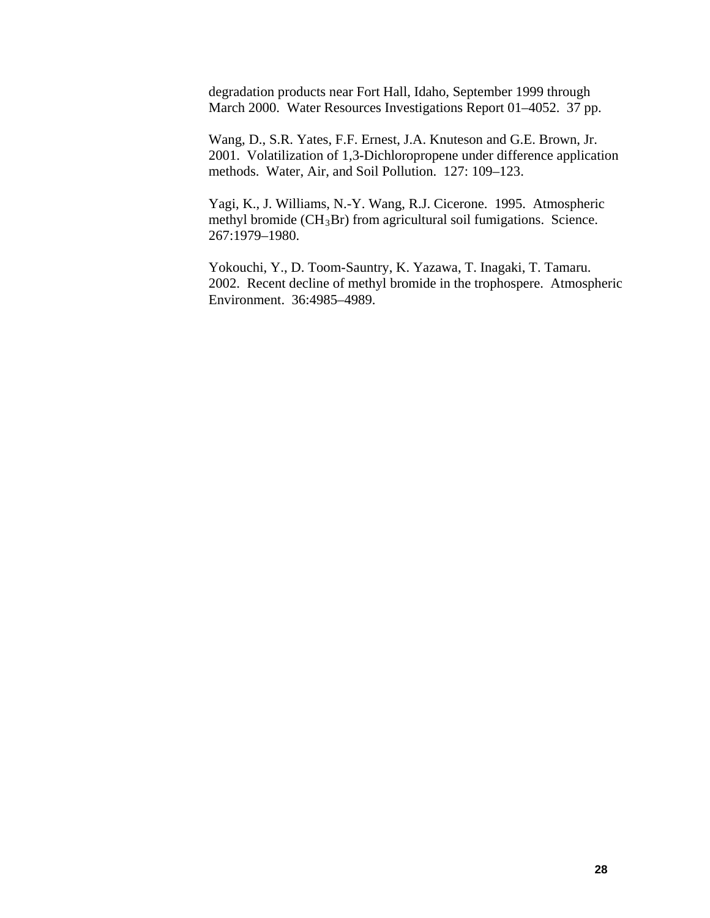degradation products near Fort Hall, Idaho, September 1999 through March 2000. Water Resources Investigations Report 01–4052. 37 pp.

Wang, D., S.R. Yates, F.F. Ernest, J.A. Knuteson and G.E. Brown, Jr. 2001. Volatilization of 1,3-Dichloropropene under difference application methods. Water, Air, and Soil Pollution. 127: 109–123.

Yagi, K., J. Williams, N.-Y. Wang, R.J. Cicerone. 1995. Atmospheric methyl bromide  $(CH_3Br)$  from agricultural soil fumigations. Science. 267:1979–1980.

Yokouchi, Y., D. Toom-Sauntry, K. Yazawa, T. Inagaki, T. Tamaru. 2002. Recent decline of methyl bromide in the trophospere. Atmospheric Environment. 36:4985–4989.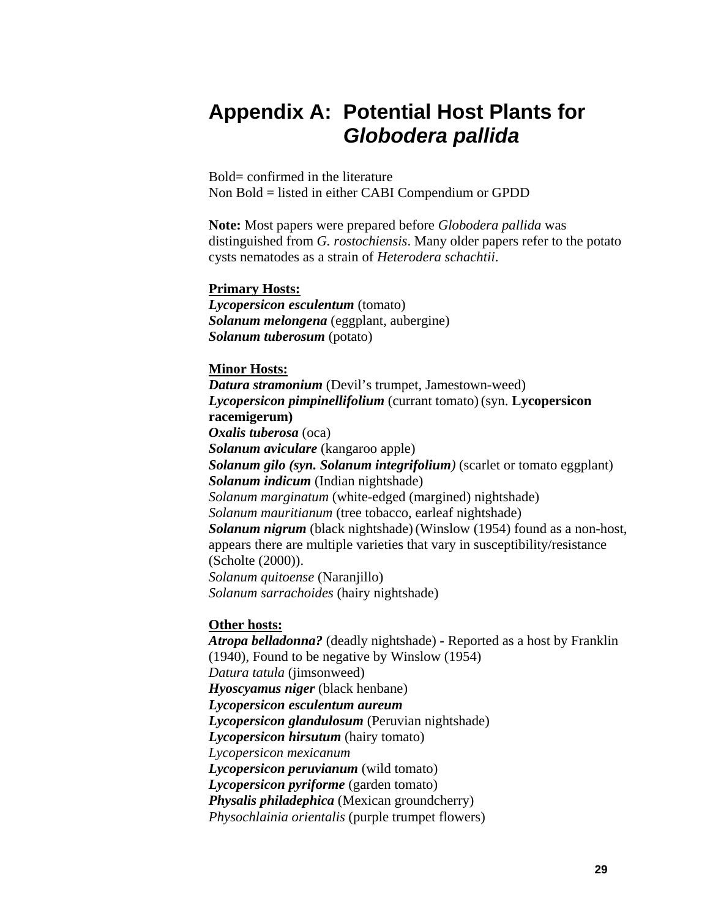# **Appendix A: Potential Host Plants for**  *Globodera pallida*

Bold= confirmed in the literature Non Bold = listed in either CABI Compendium or GPDD

**Note:** Most papers were prepared before *Globodera pallida* was distinguished from *G. rostochiensis*. Many older papers refer to the potato cysts nematodes as a strain of *Heterodera schachtii*.

#### **Primary Hosts:**

*Lycopersicon esculentum* (tomato) *Solanum melongena* (eggplant, aubergine) *Solanum tuberosum* (potato)

#### **Minor Hosts:**

*Datura stramonium* (Devil's trumpet, Jamestown-weed) *Lycopersicon pimpinellifolium* (currant tomato)(syn. **Lycopersicon racemigerum)** *Oxalis tuberosa* (oca) *Solanum aviculare* (kangaroo apple) *Solanum gilo (syn. Solanum integrifolium)* (scarlet or tomato eggplant) *Solanum indicum* (Indian nightshade) *Solanum marginatum* (white-edged (margined) nightshade) *Solanum mauritianum* (tree tobacco, earleaf nightshade) *Solanum nigrum* (black nightshade)(Winslow (1954) found as a non-host, appears there are multiple varieties that vary in susceptibility/resistance (Scholte (2000)). *Solanum quitoense* (Naranjillo) *Solanum sarrachoides* (hairy nightshade)

#### **Other hosts:**

*Atropa belladonna?* (deadly nightshade) *-* Reported as a host by Franklin (1940), Found to be negative by Winslow (1954) *Datura tatula* (jimsonweed) *Hyoscyamus niger* (black henbane) *Lycopersicon esculentum aureum Lycopersicon glandulosum* (Peruvian nightshade) *Lycopersicon hirsutum* (hairy tomato) *Lycopersicon mexicanum Lycopersicon peruvianum* (wild tomato) *Lycopersicon pyriforme* (garden tomato) *Physalis philadephica* (Mexican groundcherry) *Physochlainia orientalis* (purple trumpet flowers)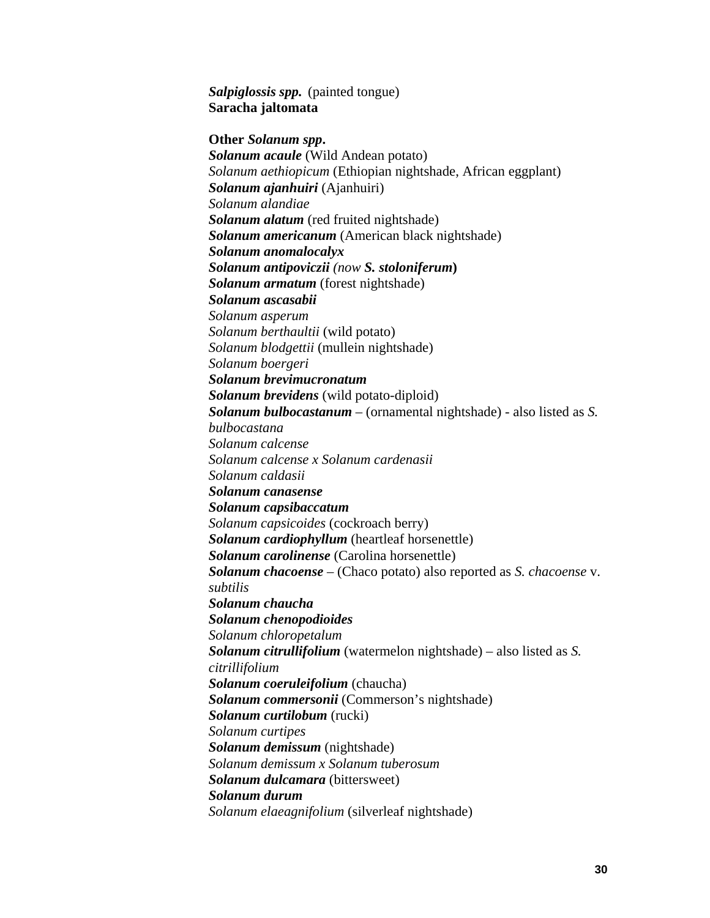*Salpiglossis spp.* (painted tongue) **Saracha jaltomata** 

**Other** *Solanum spp***.** *Solanum acaule* (Wild Andean potato) *Solanum aethiopicum* (Ethiopian nightshade, African eggplant) *Solanum ajanhuiri* (Ajanhuiri) *Solanum alandiae Solanum alatum* (red fruited nightshade) *Solanum americanum* (American black nightshade) *Solanum anomalocalyx Solanum antipoviczii (now S. stoloniferum***)** *Solanum armatum* (forest nightshade) *Solanum ascasabii Solanum asperum Solanum berthaultii* (wild potato) *Solanum blodgettii* (mullein nightshade) *Solanum boergeri Solanum brevimucronatum Solanum brevidens* (wild potato-diploid) *Solanum bulbocastanum* – (ornamental nightshade) - also listed as *S. bulbocastana Solanum calcense Solanum calcense x Solanum cardenasii Solanum caldasii Solanum canasense Solanum capsibaccatum Solanum capsicoides* (cockroach berry) *Solanum cardiophyllum* (heartleaf horsenettle) *Solanum carolinense* (Carolina horsenettle) *Solanum chacoense* – (Chaco potato) also reported as *S. chacoense* v. *subtilis Solanum chaucha Solanum chenopodioides Solanum chloropetalum Solanum citrullifolium* (watermelon nightshade) – also listed as *S. citrillifolium Solanum coeruleifolium* (chaucha) *Solanum commersonii* (Commerson's nightshade) *Solanum curtilobum* (rucki) *Solanum curtipes Solanum demissum* (nightshade) *Solanum demissum x Solanum tuberosum Solanum dulcamara* (bittersweet) *Solanum durum Solanum elaeagnifolium* (silverleaf nightshade)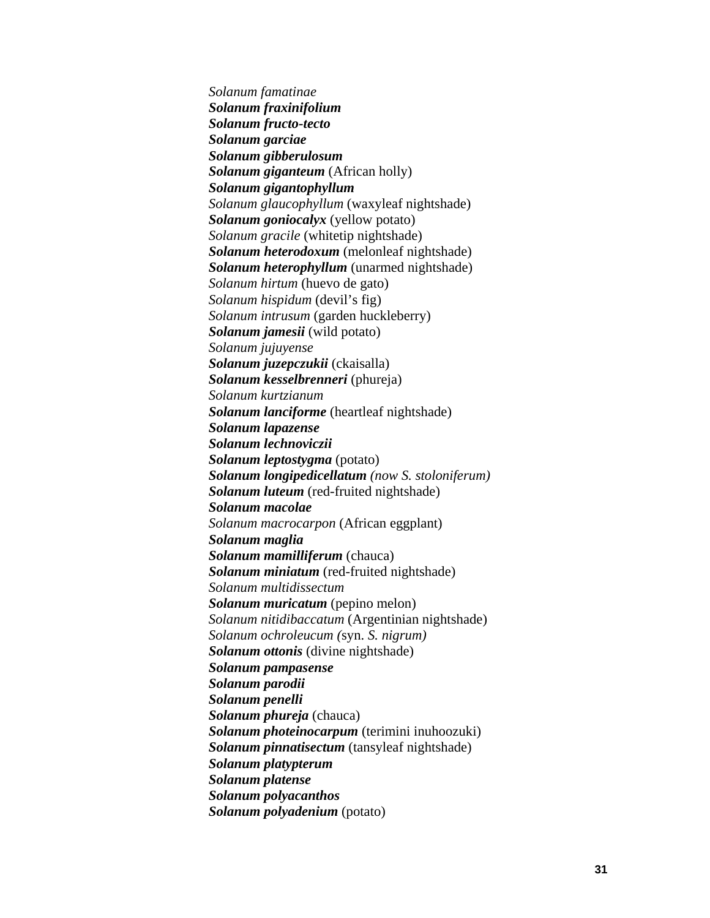*Solanum famatinae Solanum fraxinifolium Solanum fructo-tecto Solanum garciae Solanum gibberulosum Solanum giganteum* (African holly) *Solanum gigantophyllum Solanum glaucophyllum* (waxyleaf nightshade) *Solanum goniocalyx* (yellow potato) *Solanum gracile* (whitetip nightshade) *Solanum heterodoxum* (melonleaf nightshade) *Solanum heterophyllum* (unarmed nightshade) *Solanum hirtum* (huevo de gato) *Solanum hispidum* (devil's fig) *Solanum intrusum* (garden huckleberry) *Solanum jamesii* (wild potato) *Solanum jujuyense Solanum juzepczukii* (ckaisalla) *Solanum kesselbrenneri* (phureja) *Solanum kurtzianum Solanum lanciforme* (heartleaf nightshade) *Solanum lapazense Solanum lechnoviczii Solanum leptostygma* (potato) *Solanum longipedicellatum (now S. stoloniferum) Solanum luteum* (red-fruited nightshade) *Solanum macolae Solanum macrocarpon* (African eggplant) *Solanum maglia Solanum mamilliferum* (chauca) *Solanum miniatum* (red-fruited nightshade) *Solanum multidissectum Solanum muricatum* (pepino melon) *Solanum nitidibaccatum* (Argentinian nightshade) *Solanum ochroleucum (*syn. *S. nigrum) Solanum ottonis* (divine nightshade) *Solanum pampasense Solanum parodii Solanum penelli Solanum phureja* (chauca) *Solanum photeinocarpum* (terimini inuhoozuki) *Solanum pinnatisectum* (tansyleaf nightshade) *Solanum platypterum Solanum platense Solanum polyacanthos Solanum polyadenium* (potato)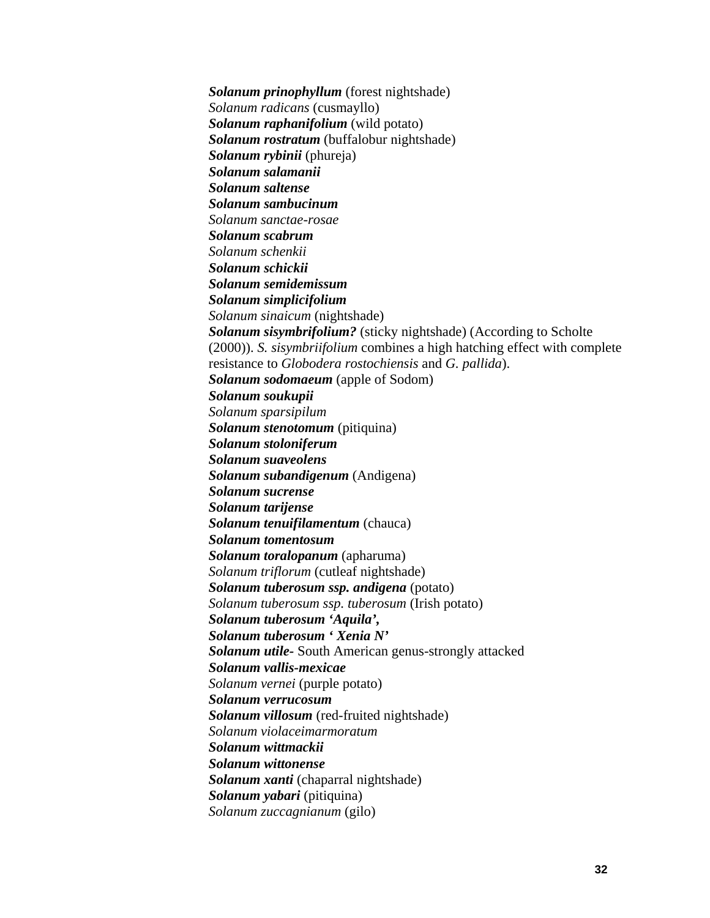*Solanum prinophyllum* (forest nightshade) *Solanum radicans* (cusmayllo) *Solanum raphanifolium* (wild potato) *Solanum rostratum* (buffalobur nightshade) *Solanum rybinii* (phureja) *Solanum salamanii Solanum saltense Solanum sambucinum Solanum sanctae-rosae Solanum scabrum Solanum schenkii Solanum schickii Solanum semidemissum Solanum simplicifolium Solanum sinaicum* (nightshade) *Solanum sisymbrifolium?* (sticky nightshade) (According to Scholte (2000)). *S. sisymbriifolium* combines a high hatching effect with complete resistance to *Globodera rostochiensis* and *G. pallida*). *Solanum sodomaeum* (apple of Sodom) *Solanum soukupii Solanum sparsipilum Solanum stenotomum* (pitiquina) *Solanum stoloniferum Solanum suaveolens Solanum subandigenum* (Andigena) *Solanum sucrense Solanum tarijense Solanum tenuifilamentum* (chauca) *Solanum tomentosum Solanum toralopanum* (apharuma) *Solanum triflorum* (cutleaf nightshade) *Solanum tuberosum ssp. andigena* (potato) *Solanum tuberosum ssp. tuberosum* (Irish potato) *Solanum tuberosum 'Aquila', Solanum tuberosum ' Xenia N' Solanum utile-* South American genus-strongly attacked *Solanum vallis-mexicae Solanum vernei* (purple potato) *Solanum verrucosum Solanum villosum* (red-fruited nightshade) *Solanum violaceimarmoratum Solanum wittmackii Solanum wittonense Solanum xanti* (chaparral nightshade) *Solanum yabari* (pitiquina) *Solanum zuccagnianum* (gilo)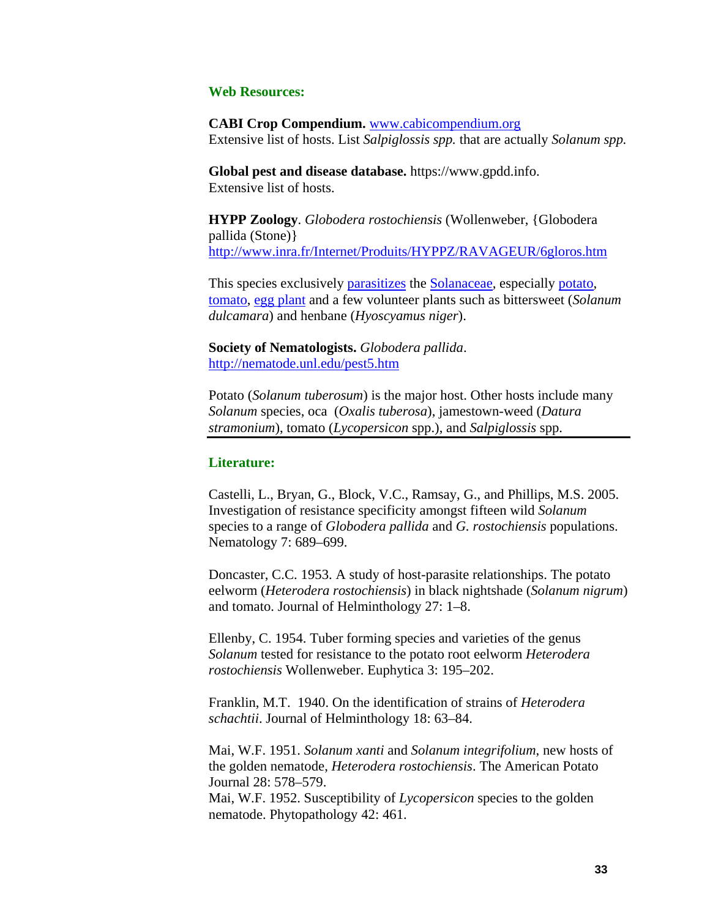#### **Web Resources:**

**CABI Crop Compendium.** [www.cabicompendium.org](http://www.cabicompendium.org/) Extensive list of hosts. List *Salpiglossis spp.* that are actually *Solanum spp.*

**Global pest and disease database.** https://www.gpdd.info. Extensive list of hosts.

**HYPP Zoology**. *Globodera rostochiensis* (Wollenweber, {Globodera pallida (Stone)} <http://www.inra.fr/Internet/Produits/HYPPZ/RAVAGEUR/6gloros.htm>

This species exclusively [parasitizes](http://www.inra.fr/Internet/Produits/HYPPZ/ZGLOSS/6g---046.htm) the [Solanaceae,](http://www.inra.fr/Internet/Produits/HYPPZ/CULTURES/6c---104.htm) especially [potato,](http://www.inra.fr/Internet/Produits/HYPPZ/CULTURES/6c---031.htm) [tomato](http://www.inra.fr/Internet/Produits/HYPPZ/CULTURES/6c---029.htm), [egg plant](http://www.inra.fr/Internet/Produits/HYPPZ/CULTURES/6c---039.htm) and a few volunteer plants such as bittersweet (*Solanum dulcamara*) and henbane (*Hyoscyamus niger*).

**Society of Nematologists.** *Globodera pallida*. <http://nematode.unl.edu/pest5.htm>

Potato (*Solanum tuberosum*) is the major host. Other hosts include many *Solanum* species, oca (*Oxalis tuberosa*), jamestown-weed (*Datura stramonium*), tomato (*Lycopersicon* spp.), and *Salpiglossis* spp.

#### **Literature:**

Castelli, L., Bryan, G., Block, V.C., Ramsay, G., and Phillips, M.S. 2005. Investigation of resistance specificity amongst fifteen wild *Solanum*  species to a range of *Globodera pallida* and *G. rostochiensis* populations. Nematology 7: 689–699.

Doncaster, C.C. 1953. A study of host-parasite relationships. The potato eelworm (*Heterodera rostochiensis*) in black nightshade (*Solanum nigrum*) and tomato. Journal of Helminthology 27: 1–8.

Ellenby, C. 1954. Tuber forming species and varieties of the genus *Solanum* tested for resistance to the potato root eelworm *Heterodera rostochiensis* Wollenweber. Euphytica 3: 195–202.

Franklin, M.T. 1940. On the identification of strains of *Heterodera schachtii*. Journal of Helminthology 18: 63–84.

Mai, W.F. 1951. *Solanum xanti* and *Solanum integrifolium*, new hosts of the golden nematode, *Heterodera rostochiensis*. The American Potato Journal 28: 578–579.

Mai, W.F. 1952. Susceptibility of *Lycopersicon* species to the golden nematode. Phytopathology 42: 461.